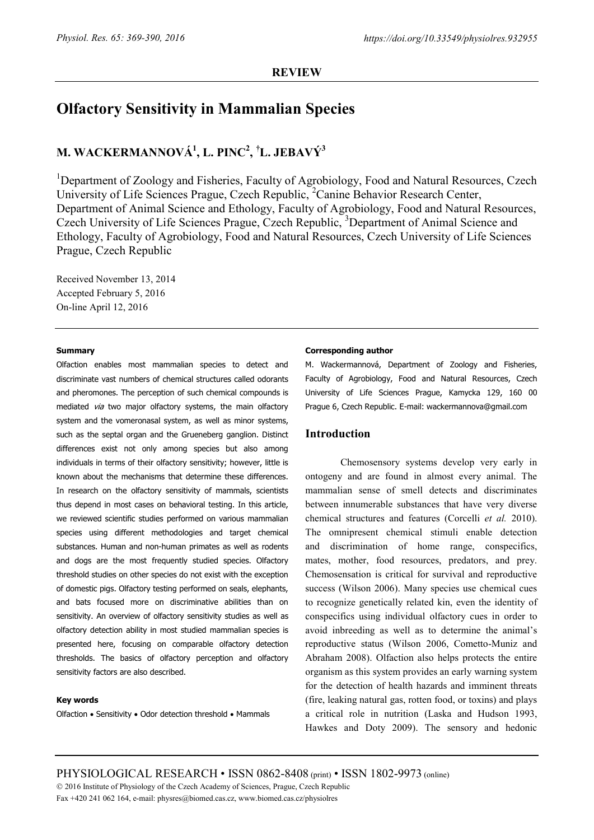# **Olfactory Sensitivity in Mammalian Species**

# **M. WACKERMANNOVÁ1 , L. PINC2 , † L. JEBAVÝ3**

<sup>1</sup>Department of Zoology and Fisheries, Faculty of Agrobiology, Food and Natural Resources, Czech University of Life Sciences Prague, Czech Republic,<sup>2</sup> Canine Behavior Research Center, Department of Animal Science and Ethology, Faculty of Agrobiology, Food and Natural Resources, Czech University of Life Sciences Prague, Czech Republic, <sup>3</sup>Department of Animal Science and Ethology, Faculty of Agrobiology, Food and Natural Resources, Czech University of Life Sciences Prague, Czech Republic

Received November 13, 2014 Accepted February 5, 2016 On-line April 12, 2016

## **Summary**

Olfaction enables most mammalian species to detect and discriminate vast numbers of chemical structures called odorants and pheromones. The perception of such chemical compounds is mediated via two major olfactory systems, the main olfactory system and the vomeronasal system, as well as minor systems, such as the septal organ and the Grueneberg ganglion. Distinct differences exist not only among species but also among individuals in terms of their olfactory sensitivity; however, little is known about the mechanisms that determine these differences. In research on the olfactory sensitivity of mammals, scientists thus depend in most cases on behavioral testing. In this article, we reviewed scientific studies performed on various mammalian species using different methodologies and target chemical substances. Human and non-human primates as well as rodents and dogs are the most frequently studied species. Olfactory threshold studies on other species do not exist with the exception of domestic pigs. Olfactory testing performed on seals, elephants, and bats focused more on discriminative abilities than on sensitivity. An overview of olfactory sensitivity studies as well as olfactory detection ability in most studied mammalian species is presented here, focusing on comparable olfactory detection thresholds. The basics of olfactory perception and olfactory sensitivity factors are also described.

## **Key words**

Olfaction • Sensitivity • Odor detection threshold • Mammals

## **Corresponding author**

M. Wackermannová, Department of Zoology and Fisheries, Faculty of Agrobiology, Food and Natural Resources, Czech University of Life Sciences Prague, Kamycka 129, 160 00 Prague 6, Czech Republic. E-mail: wackermannova@gmail.com

# **Introduction**

Chemosensory systems develop very early in ontogeny and are found in almost every animal. The mammalian sense of smell detects and discriminates between innumerable substances that have very diverse chemical structures and features (Corcelli *et al.* 2010). The omnipresent chemical stimuli enable detection and discrimination of home range, conspecifics, mates, mother, food resources, predators, and prey. Chemosensation is critical for survival and reproductive success (Wilson 2006). Many species use chemical cues to recognize genetically related kin, even the identity of conspecifics using individual olfactory cues in order to avoid inbreeding as well as to determine the animal's reproductive status (Wilson 2006, Cometto-Muniz and Abraham 2008). Olfaction also helps protects the entire organism as this system provides an early warning system for the detection of health hazards and imminent threats (fire, leaking natural gas, rotten food, or toxins) and plays a critical role in nutrition (Laska and Hudson 1993, Hawkes and Doty 2009). The sensory and hedonic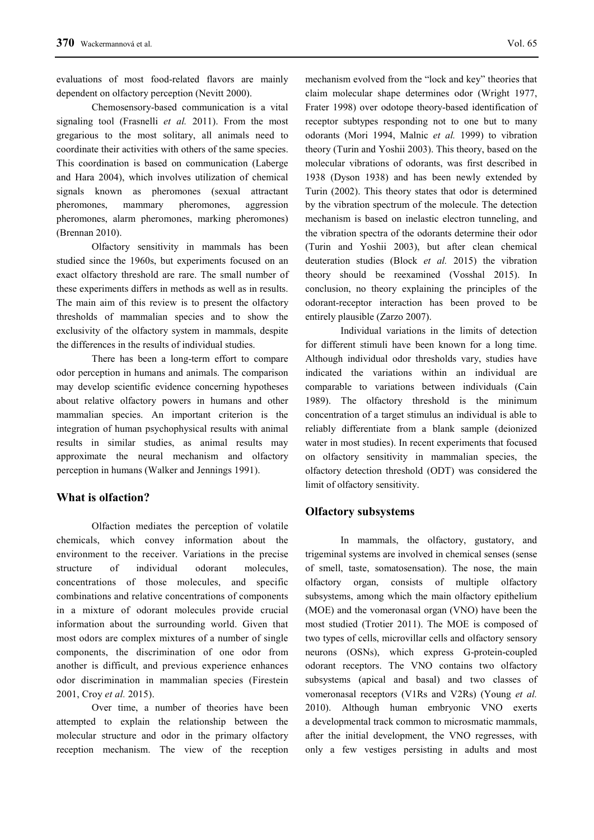evaluations of most food-related flavors are mainly dependent on olfactory perception (Nevitt 2000).

Chemosensory-based communication is a vital signaling tool (Frasnelli *et al.* 2011). From the most gregarious to the most solitary, all animals need to coordinate their activities with others of the same species. This coordination is based on communication (Laberge and Hara 2004), which involves utilization of chemical signals known as pheromones (sexual attractant pheromones, mammary pheromones, aggression pheromones, alarm pheromones, marking pheromones) (Brennan 2010).

Olfactory sensitivity in mammals has been studied since the 1960s, but experiments focused on an exact olfactory threshold are rare. The small number of these experiments differs in methods as well as in results. The main aim of this review is to present the olfactory thresholds of mammalian species and to show the exclusivity of the olfactory system in mammals, despite the differences in the results of individual studies.

There has been a long-term effort to compare odor perception in humans and animals. The comparison may develop scientific evidence concerning hypotheses about relative olfactory powers in humans and other mammalian species. An important criterion is the integration of human psychophysical results with animal results in similar studies, as animal results may approximate the neural mechanism and olfactory perception in humans (Walker and Jennings 1991).

# **What is olfaction?**

Olfaction mediates the perception of volatile chemicals, which convey information about the environment to the receiver. Variations in the precise structure of individual odorant molecules, concentrations of those molecules, and specific combinations and relative concentrations of components in a mixture of odorant molecules provide crucial information about the surrounding world. Given that most odors are complex mixtures of a number of single components, the discrimination of one odor from another is difficult, and previous experience enhances odor discrimination in mammalian species (Firestein 2001, Croy *et al.* 2015).

Over time, a number of theories have been attempted to explain the relationship between the molecular structure and odor in the primary olfactory reception mechanism. The view of the reception mechanism evolved from the "lock and key" theories that claim molecular shape determines odor (Wright 1977, Frater 1998) over odotope theory-based identification of receptor subtypes responding not to one but to many odorants (Mori 1994, Malnic *et al.* 1999) to vibration theory (Turin and Yoshii 2003). This theory, based on the molecular vibrations of odorants, was first described in 1938 (Dyson 1938) and has been newly extended by Turin (2002). This theory states that odor is determined by the vibration spectrum of the molecule. The detection mechanism is based on inelastic electron tunneling, and the vibration spectra of the odorants determine their odor (Turin and Yoshii 2003), but after clean chemical deuteration studies (Block *et al.* 2015) the vibration theory should be reexamined (Vosshal 2015). In conclusion, no theory explaining the principles of the odorant-receptor interaction has been proved to be entirely plausible (Zarzo 2007).

Individual variations in the limits of detection for different stimuli have been known for a long time. Although individual odor thresholds vary, studies have indicated the variations within an individual are comparable to variations between individuals (Cain 1989). The olfactory threshold is the minimum concentration of a target stimulus an individual is able to reliably differentiate from a blank sample (deionized water in most studies). In recent experiments that focused on olfactory sensitivity in mammalian species, the olfactory detection threshold (ODT) was considered the limit of olfactory sensitivity.

# **Olfactory subsystems**

In mammals, the olfactory, gustatory, and trigeminal systems are involved in chemical senses (sense of smell, taste, somatosensation). The nose, the main olfactory organ, consists of multiple olfactory subsystems, among which the main olfactory epithelium (MOE) and the vomeronasal organ (VNO) have been the most studied (Trotier 2011). The MOE is composed of two types of cells, microvillar cells and olfactory sensory neurons (OSNs), which express G-protein-coupled odorant receptors. The VNO contains two olfactory subsystems (apical and basal) and two classes of vomeronasal receptors (V1Rs and V2Rs) (Young *et al.* 2010). Although human embryonic VNO exerts a developmental track common to microsmatic mammals, after the initial development, the VNO regresses, with only a few vestiges persisting in adults and most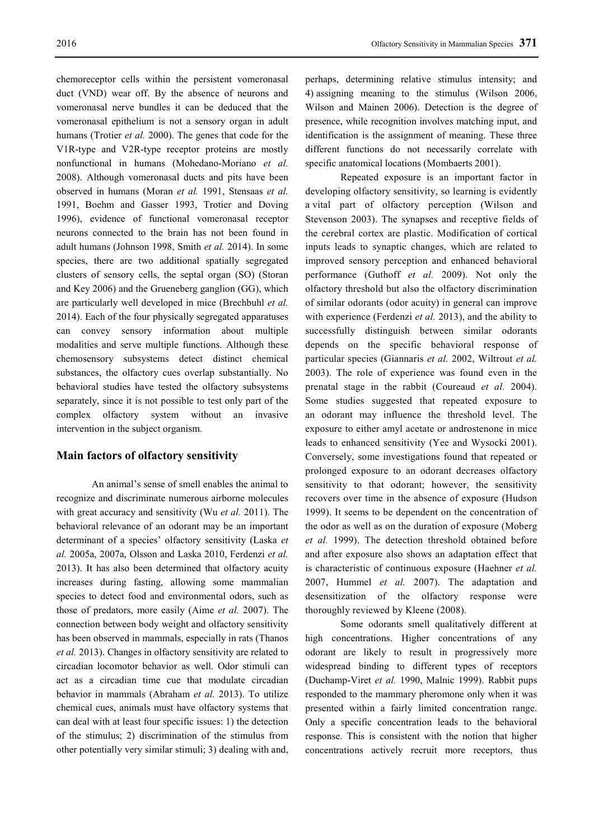chemoreceptor cells within the persistent vomeronasal duct (VND) wear off. By the absence of neurons and vomeronasal nerve bundles it can be deduced that the vomeronasal epithelium is not a sensory organ in adult humans (Trotier *et al.* 2000). The genes that code for the V1R-type and V2R-type receptor proteins are mostly nonfunctional in humans (Mohedano-Moriano *et al.* 2008). Although vomeronasal ducts and pits have been observed in humans (Moran *et al.* 1991, Stensaas *et al.* 1991, Boehm and Gasser 1993, Trotier and Doving 1996), evidence of functional vomeronasal receptor neurons connected to the brain has not been found in adult humans (Johnson 1998, Smith *et al.* 2014). In some species, there are two additional spatially segregated clusters of sensory cells, the septal organ (SO) (Storan and Key 2006) and the Grueneberg ganglion (GG), which are particularly well developed in mice (Brechbuhl *et al.* 2014). Each of the four physically segregated apparatuses can convey sensory information about multiple modalities and serve multiple functions. Although these chemosensory subsystems detect distinct chemical substances, the olfactory cues overlap substantially. No behavioral studies have tested the olfactory subsystems separately, since it is not possible to test only part of the complex olfactory system without an invasive intervention in the subject organism.

# **Main factors of olfactory sensitivity**

An animal's sense of smell enables the animal to recognize and discriminate numerous airborne molecules with great accuracy and sensitivity (Wu *et al.* 2011). The behavioral relevance of an odorant may be an important determinant of a species' olfactory sensitivity (Laska *et al.* 2005a, 2007a, Olsson and Laska 2010, Ferdenzi *et al.* 2013). It has also been determined that olfactory acuity increases during fasting, allowing some mammalian species to detect food and environmental odors, such as those of predators, more easily (Aime *et al.* 2007). The connection between body weight and olfactory sensitivity has been observed in mammals, especially in rats (Thanos *et al.* 2013). Changes in olfactory sensitivity are related to circadian locomotor behavior as well. Odor stimuli can act as a circadian time cue that modulate circadian behavior in mammals (Abraham *et al.* 2013). To utilize chemical cues, animals must have olfactory systems that can deal with at least four specific issues: 1) the detection of the stimulus; 2) discrimination of the stimulus from other potentially very similar stimuli; 3) dealing with and,

perhaps, determining relative stimulus intensity; and 4) assigning meaning to the stimulus (Wilson 2006, Wilson and Mainen 2006). Detection is the degree of presence, while recognition involves matching input, and identification is the assignment of meaning. These three different functions do not necessarily correlate with specific anatomical locations (Mombaerts 2001).

Repeated exposure is an important factor in developing olfactory sensitivity, so learning is evidently a vital part of olfactory perception (Wilson and Stevenson 2003). The synapses and receptive fields of the cerebral cortex are plastic. Modification of cortical inputs leads to synaptic changes, which are related to improved sensory perception and enhanced behavioral performance (Guthoff *et al.* 2009). Not only the olfactory threshold but also the olfactory discrimination of similar odorants (odor acuity) in general can improve with experience (Ferdenzi *et al.* 2013), and the ability to successfully distinguish between similar odorants depends on the specific behavioral response of particular species (Giannaris *et al.* 2002, Wiltrout *et al.* 2003). The role of experience was found even in the prenatal stage in the rabbit (Coureaud *et al.* 2004). Some studies suggested that repeated exposure to an odorant may influence the threshold level. The exposure to either amyl acetate or androstenone in mice leads to enhanced sensitivity (Yee and Wysocki 2001). Conversely, some investigations found that repeated or prolonged exposure to an odorant decreases olfactory sensitivity to that odorant; however, the sensitivity recovers over time in the absence of exposure (Hudson 1999). It seems to be dependent on the concentration of the odor as well as on the duration of exposure (Moberg *et al.* 1999). The detection threshold obtained before and after exposure also shows an adaptation effect that is characteristic of continuous exposure (Haehner *et al.* 2007, Hummel *et al.* 2007). The adaptation and desensitization of the olfactory response were thoroughly reviewed by Kleene (2008).

Some odorants smell qualitatively different at high concentrations. Higher concentrations of any odorant are likely to result in progressively more widespread binding to different types of receptors (Duchamp-Viret *et al.* 1990, Malnic 1999). Rabbit pups responded to the mammary pheromone only when it was presented within a fairly limited concentration range. Only a specific concentration leads to the behavioral response. This is consistent with the notion that higher concentrations actively recruit more receptors, thus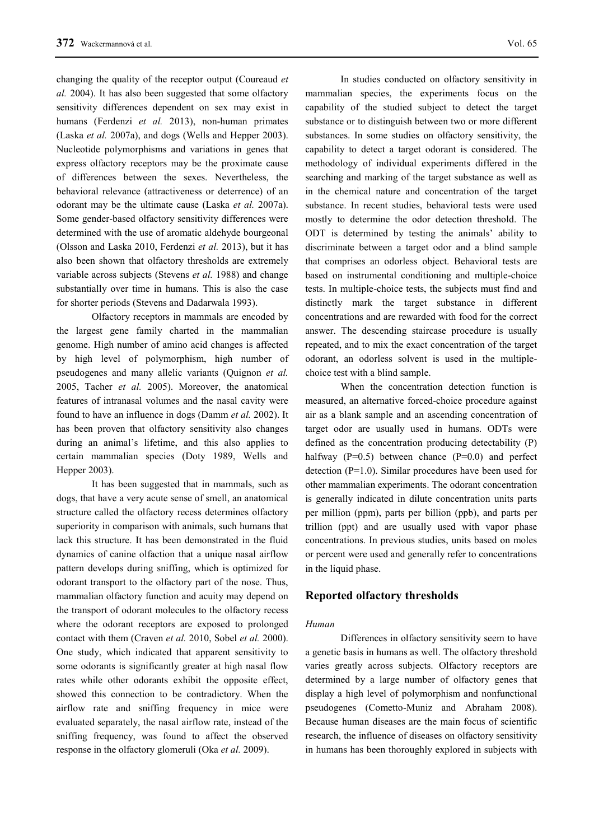changing the quality of the receptor output (Coureaud *et al.* 2004). It has also been suggested that some olfactory sensitivity differences dependent on sex may exist in humans (Ferdenzi *et al.* 2013), non-human primates (Laska *et al.* 2007a), and dogs (Wells and Hepper 2003). Nucleotide polymorphisms and variations in genes that express olfactory receptors may be the proximate cause of differences between the sexes. Nevertheless, the behavioral relevance (attractiveness or deterrence) of an odorant may be the ultimate cause (Laska *et al.* 2007a). Some gender-based olfactory sensitivity differences were determined with the use of aromatic aldehyde bourgeonal (Olsson and Laska 2010, Ferdenzi *et al.* 2013), but it has also been shown that olfactory thresholds are extremely variable across subjects (Stevens *et al.* 1988) and change substantially over time in humans. This is also the case for shorter periods (Stevens and Dadarwala 1993).

Olfactory receptors in mammals are encoded by the largest gene family charted in the mammalian genome. High number of amino acid changes is affected by high level of polymorphism, high number of pseudogenes and many allelic variants (Quignon *et al.* 2005, Tacher *et al.* 2005). Moreover, the anatomical features of intranasal volumes and the nasal cavity were found to have an influence in dogs (Damm *et al.* 2002). It has been proven that olfactory sensitivity also changes during an animal's lifetime, and this also applies to certain mammalian species (Doty 1989, Wells and Hepper 2003).

It has been suggested that in mammals, such as dogs, that have a very acute sense of smell, an anatomical structure called the olfactory recess determines olfactory superiority in comparison with animals, such humans that lack this structure. It has been demonstrated in the fluid dynamics of canine olfaction that a unique nasal airflow pattern develops during sniffing, which is optimized for odorant transport to the olfactory part of the nose. Thus, mammalian olfactory function and acuity may depend on the transport of odorant molecules to the olfactory recess where the odorant receptors are exposed to prolonged contact with them (Craven *et al.* 2010, Sobel *et al.* 2000). One study, which indicated that apparent sensitivity to some odorants is significantly greater at high nasal flow rates while other odorants exhibit the opposite effect, showed this connection to be contradictory. When the airflow rate and sniffing frequency in mice were evaluated separately, the nasal airflow rate, instead of the sniffing frequency, was found to affect the observed response in the olfactory glomeruli (Oka *et al.* 2009).

In studies conducted on olfactory sensitivity in mammalian species, the experiments focus on the capability of the studied subject to detect the target substance or to distinguish between two or more different substances. In some studies on olfactory sensitivity, the capability to detect a target odorant is considered. The methodology of individual experiments differed in the searching and marking of the target substance as well as in the chemical nature and concentration of the target substance. In recent studies, behavioral tests were used mostly to determine the odor detection threshold. The ODT is determined by testing the animals' ability to discriminate between a target odor and a blind sample that comprises an odorless object. Behavioral tests are based on instrumental conditioning and multiple-choice tests. In multiple-choice tests, the subjects must find and distinctly mark the target substance in different concentrations and are rewarded with food for the correct answer. The descending staircase procedure is usually repeated, and to mix the exact concentration of the target odorant, an odorless solvent is used in the multiplechoice test with a blind sample.

When the concentration detection function is measured, an alternative forced-choice procedure against air as a blank sample and an ascending concentration of target odor are usually used in humans. ODTs were defined as the concentration producing detectability (P) halfway  $(P=0.5)$  between chance  $(P=0.0)$  and perfect detection (P=1.0). Similar procedures have been used for other mammalian experiments. The odorant concentration is generally indicated in dilute concentration units parts per million (ppm), parts per billion (ppb), and parts per trillion (ppt) and are usually used with vapor phase concentrations. In previous studies, units based on moles or percent were used and generally refer to concentrations in the liquid phase.

## **Reported olfactory thresholds**

#### *Human*

Differences in olfactory sensitivity seem to have a genetic basis in humans as well. The olfactory threshold varies greatly across subjects. Olfactory receptors are determined by a large number of olfactory genes that display a high level of polymorphism and nonfunctional pseudogenes (Cometto-Muniz and Abraham 2008). Because human diseases are the main focus of scientific research, the influence of diseases on olfactory sensitivity in humans has been thoroughly explored in subjects with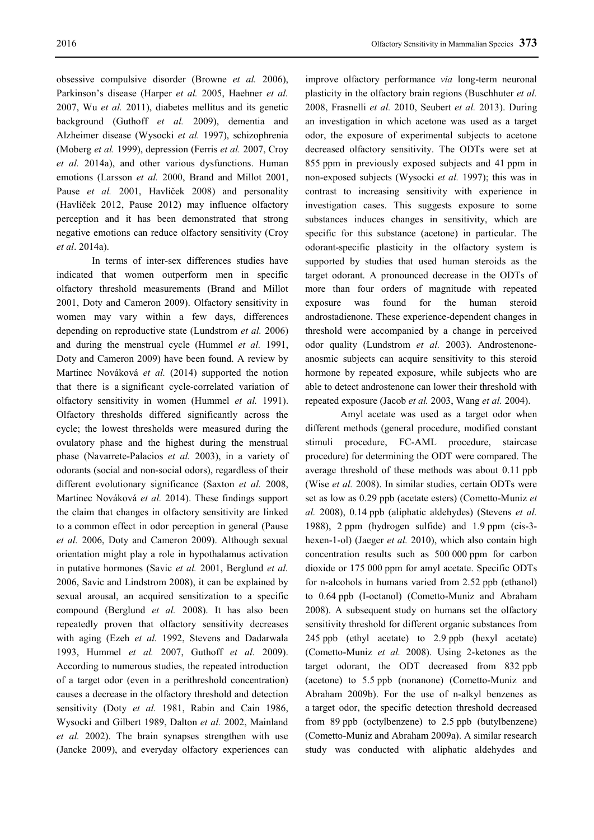obsessive compulsive disorder (Browne *et al.* 2006), Parkinson's disease (Harper *et al.* 2005, Haehner *et al.* 2007, Wu *et al.* 2011), diabetes mellitus and its genetic background (Guthoff *et al.* 2009), dementia and Alzheimer disease (Wysocki *et al.* 1997), schizophrenia (Moberg *et al.* 1999), depression (Ferris *et al.* 2007, Croy *et al.* 2014a), and other various dysfunctions. Human emotions (Larsson *et al.* 2000, Brand and Millot 2001, Pause *et al.* 2001, Havlíček 2008) and personality (Havlíček 2012, Pause 2012) may influence olfactory perception and it has been demonstrated that strong negative emotions can reduce olfactory sensitivity (Croy *et al*. 2014a).

In terms of inter-sex differences studies have indicated that women outperform men in specific olfactory threshold measurements (Brand and Millot 2001, Doty and Cameron 2009). Olfactory sensitivity in women may vary within a few days, differences depending on reproductive state (Lundstrom *et al.* 2006) and during the menstrual cycle (Hummel *et al.* 1991, Doty and Cameron 2009) have been found. A review by Martinec Nováková *et al.* (2014) supported the notion that there is a significant cycle-correlated variation of olfactory sensitivity in women (Hummel *et al.* 1991). Olfactory thresholds differed significantly across the cycle; the lowest thresholds were measured during the ovulatory phase and the highest during the menstrual phase (Navarrete-Palacios *et al.* 2003), in a variety of odorants (social and non-social odors), regardless of their different evolutionary significance (Saxton *et al.* 2008, Martinec Nováková *et al.* 2014). These findings support the claim that changes in olfactory sensitivity are linked to a common effect in odor perception in general (Pause *et al.* 2006, Doty and Cameron 2009). Although sexual orientation might play a role in hypothalamus activation in putative hormones (Savic *et al.* 2001, Berglund *et al.* 2006, Savic and Lindstrom 2008), it can be explained by sexual arousal, an acquired sensitization to a specific compound (Berglund *et al.* 2008). It has also been repeatedly proven that olfactory sensitivity decreases with aging (Ezeh *et al.* 1992, Stevens and Dadarwala 1993, Hummel *et al.* 2007, Guthoff *et al.* 2009). According to numerous studies, the repeated introduction of a target odor (even in a perithreshold concentration) causes a decrease in the olfactory threshold and detection sensitivity (Doty *et al.* 1981, Rabin and Cain 1986, Wysocki and Gilbert 1989, Dalton *et al.* 2002, Mainland *et al.* 2002). The brain synapses strengthen with use (Jancke 2009), and everyday olfactory experiences can improve olfactory performance *via* long-term neuronal plasticity in the olfactory brain regions (Buschhuter *et al.* 2008, Frasnelli *et al.* 2010, Seubert *et al.* 2013). During an investigation in which acetone was used as a target odor, the exposure of experimental subjects to acetone decreased olfactory sensitivity. The ODTs were set at 855 ppm in previously exposed subjects and 41 ppm in non-exposed subjects (Wysocki *et al.* 1997); this was in contrast to increasing sensitivity with experience in investigation cases. This suggests exposure to some substances induces changes in sensitivity, which are specific for this substance (acetone) in particular. The odorant-specific plasticity in the olfactory system is supported by studies that used human steroids as the target odorant. A pronounced decrease in the ODTs of more than four orders of magnitude with repeated exposure was found for the human steroid androstadienone. These experience-dependent changes in threshold were accompanied by a change in perceived odor quality (Lundstrom *et al.* 2003). Androstenoneanosmic subjects can acquire sensitivity to this steroid hormone by repeated exposure, while subjects who are able to detect androstenone can lower their threshold with repeated exposure (Jacob *et al.* 2003, Wang *et al.* 2004).

Amyl acetate was used as a target odor when different methods (general procedure, modified constant stimuli procedure, FC-AML procedure, staircase procedure) for determining the ODT were compared. The average threshold of these methods was about 0.11 ppb (Wise *et al.* 2008). In similar studies, certain ODTs were set as low as 0.29 ppb (acetate esters) (Cometto-Muniz *et al.* 2008), 0.14 ppb (aliphatic aldehydes) (Stevens *et al.*  1988), 2 ppm (hydrogen sulfide) and 1.9 ppm (cis-3 hexen-1-ol) (Jaeger *et al.* 2010), which also contain high concentration results such as 500 000 ppm for carbon dioxide or 175 000 ppm for amyl acetate. Specific ODTs for n-alcohols in humans varied from 2.52 ppb (ethanol) to 0.64 ppb (I-octanol) (Cometto-Muniz and Abraham 2008). A subsequent study on humans set the olfactory sensitivity threshold for different organic substances from 245 ppb (ethyl acetate) to 2.9 ppb (hexyl acetate) (Cometto-Muniz *et al.* 2008). Using 2-ketones as the target odorant, the ODT decreased from 832 ppb (acetone) to 5.5 ppb (nonanone) (Cometto-Muniz and Abraham 2009b). For the use of n-alkyl benzenes as a target odor, the specific detection threshold decreased from 89 ppb (octylbenzene) to 2.5 ppb (butylbenzene) (Cometto-Muniz and Abraham 2009a). A similar research study was conducted with aliphatic aldehydes and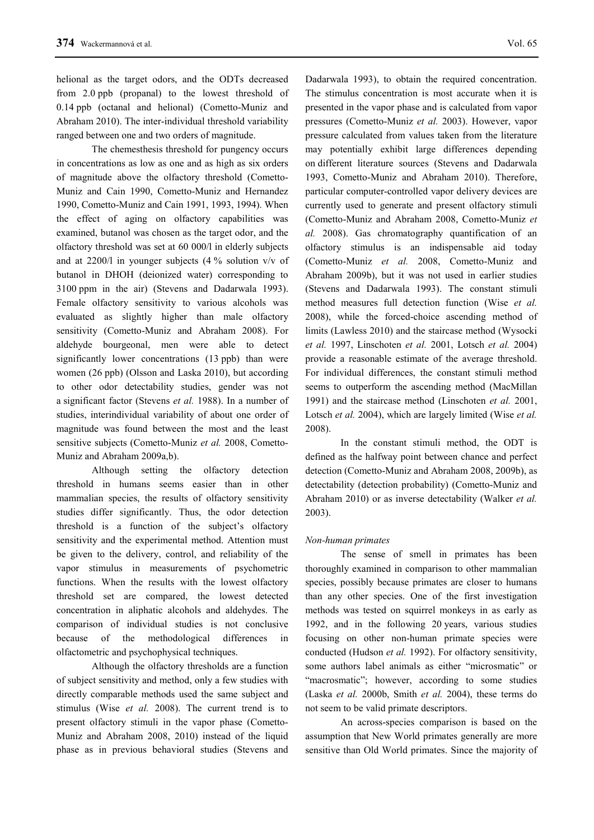helional as the target odors, and the ODTs decreased from 2.0 ppb (propanal) to the lowest threshold of 0.14 ppb (octanal and helional) (Cometto-Muniz and Abraham 2010). The inter-individual threshold variability ranged between one and two orders of magnitude.

The chemesthesis threshold for pungency occurs in concentrations as low as one and as high as six orders of magnitude above the olfactory threshold (Cometto-Muniz and Cain 1990, Cometto-Muniz and Hernandez 1990, Cometto-Muniz and Cain 1991, 1993, 1994). When the effect of aging on olfactory capabilities was examined, butanol was chosen as the target odor, and the olfactory threshold was set at 60 000/l in elderly subjects and at 2200/l in younger subjects (4 % solution v/v of butanol in DHOH (deionized water) corresponding to 3100 ppm in the air) (Stevens and Dadarwala 1993). Female olfactory sensitivity to various alcohols was evaluated as slightly higher than male olfactory sensitivity (Cometto-Muniz and Abraham 2008). For aldehyde bourgeonal, men were able to detect significantly lower concentrations (13 ppb) than were women (26 ppb) (Olsson and Laska 2010), but according to other odor detectability studies, gender was not a significant factor (Stevens *et al.* 1988). In a number of studies, interindividual variability of about one order of magnitude was found between the most and the least sensitive subjects (Cometto-Muniz *et al.* 2008, Cometto-Muniz and Abraham 2009a,b).

Although setting the olfactory detection threshold in humans seems easier than in other mammalian species, the results of olfactory sensitivity studies differ significantly. Thus, the odor detection threshold is a function of the subject's olfactory sensitivity and the experimental method. Attention must be given to the delivery, control, and reliability of the vapor stimulus in measurements of psychometric functions. When the results with the lowest olfactory threshold set are compared, the lowest detected concentration in aliphatic alcohols and aldehydes. The comparison of individual studies is not conclusive because of the methodological differences in olfactometric and psychophysical techniques.

Although the olfactory thresholds are a function of subject sensitivity and method, only a few studies with directly comparable methods used the same subject and stimulus (Wise *et al.* 2008). The current trend is to present olfactory stimuli in the vapor phase (Cometto-Muniz and Abraham 2008, 2010) instead of the liquid phase as in previous behavioral studies (Stevens and Dadarwala 1993), to obtain the required concentration. The stimulus concentration is most accurate when it is presented in the vapor phase and is calculated from vapor pressures (Cometto-Muniz *et al.* 2003). However, vapor pressure calculated from values taken from the literature may potentially exhibit large differences depending on different literature sources (Stevens and Dadarwala 1993, Cometto-Muniz and Abraham 2010). Therefore, particular computer-controlled vapor delivery devices are currently used to generate and present olfactory stimuli (Cometto-Muniz and Abraham 2008, Cometto-Muniz *et al.* 2008). Gas chromatography quantification of an olfactory stimulus is an indispensable aid today (Cometto-Muniz *et al.* 2008, Cometto-Muniz and Abraham 2009b), but it was not used in earlier studies (Stevens and Dadarwala 1993). The constant stimuli method measures full detection function (Wise *et al.* 2008), while the forced-choice ascending method of limits (Lawless 2010) and the staircase method (Wysocki *et al.* 1997, Linschoten *et al.* 2001, Lotsch *et al.* 2004) provide a reasonable estimate of the average threshold. For individual differences, the constant stimuli method seems to outperform the ascending method (MacMillan 1991) and the staircase method (Linschoten *et al.* 2001, Lotsch *et al.* 2004), which are largely limited (Wise *et al.* 2008).

In the constant stimuli method, the ODT is defined as the halfway point between chance and perfect detection (Cometto-Muniz and Abraham 2008, 2009b), as detectability (detection probability) (Cometto-Muniz and Abraham 2010) or as inverse detectability (Walker *et al.* 2003).

#### *Non-human primates*

The sense of smell in primates has been thoroughly examined in comparison to other mammalian species, possibly because primates are closer to humans than any other species. One of the first investigation methods was tested on squirrel monkeys in as early as 1992, and in the following 20 years, various studies focusing on other non-human primate species were conducted (Hudson *et al.* 1992). For olfactory sensitivity, some authors label animals as either "microsmatic" or "macrosmatic"; however, according to some studies (Laska *et al.* 2000b, Smith *et al.* 2004), these terms do not seem to be valid primate descriptors.

An across-species comparison is based on the assumption that New World primates generally are more sensitive than Old World primates. Since the majority of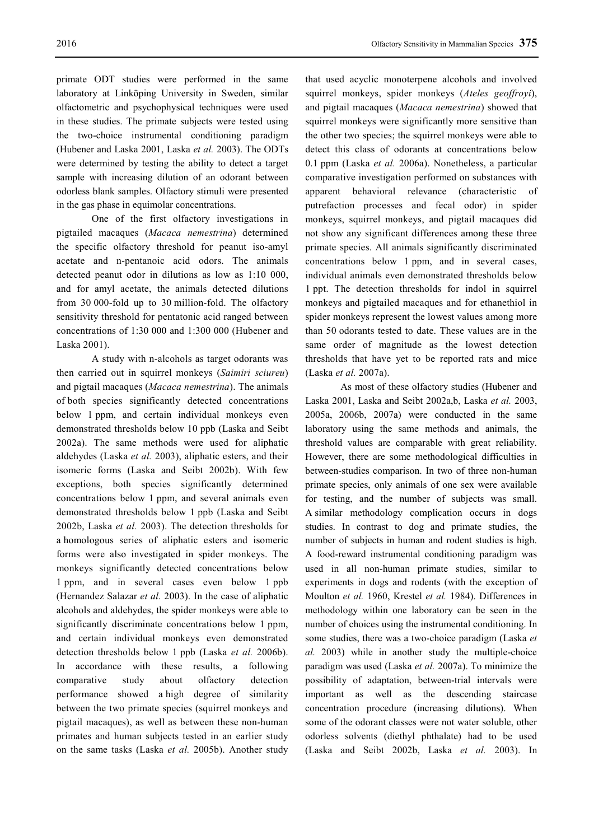primate ODT studies were performed in the same laboratory at Linköping University in Sweden, similar olfactometric and psychophysical techniques were used in these studies. The primate subjects were tested using the two-choice instrumental conditioning paradigm (Hubener and Laska 2001, Laska *et al.* 2003). The ODTs were determined by testing the ability to detect a target sample with increasing dilution of an odorant between odorless blank samples. Olfactory stimuli were presented in the gas phase in equimolar concentrations.

One of the first olfactory investigations in pigtailed macaques (*Macaca nemestrina*) determined the specific olfactory threshold for peanut iso-amyl acetate and n-pentanoic acid odors. The animals detected peanut odor in dilutions as low as 1:10 000, and for amyl acetate, the animals detected dilutions from 30 000-fold up to 30 million-fold. The olfactory sensitivity threshold for pentatonic acid ranged between concentrations of 1:30 000 and 1:300 000 (Hubener and Laska 2001).

A study with n-alcohols as target odorants was then carried out in squirrel monkeys (*Saimiri sciureu*) and pigtail macaques (*Macaca nemestrina*). The animals of both species significantly detected concentrations below 1 ppm, and certain individual monkeys even demonstrated thresholds below 10 ppb (Laska and Seibt 2002a). The same methods were used for aliphatic aldehydes (Laska *et al.* 2003), aliphatic esters, and their isomeric forms (Laska and Seibt 2002b). With few exceptions, both species significantly determined concentrations below 1 ppm, and several animals even demonstrated thresholds below 1 ppb (Laska and Seibt 2002b, Laska *et al.* 2003). The detection thresholds for a homologous series of aliphatic esters and isomeric forms were also investigated in spider monkeys. The monkeys significantly detected concentrations below 1 ppm, and in several cases even below 1 ppb (Hernandez Salazar *et al.* 2003). In the case of aliphatic alcohols and aldehydes, the spider monkeys were able to significantly discriminate concentrations below 1 ppm, and certain individual monkeys even demonstrated detection thresholds below 1 ppb (Laska *et al.* 2006b). In accordance with these results, a following comparative study about olfactory detection performance showed a high degree of similarity between the two primate species (squirrel monkeys and pigtail macaques), as well as between these non-human primates and human subjects tested in an earlier study on the same tasks (Laska *et al.* 2005b). Another study

that used acyclic monoterpene alcohols and involved squirrel monkeys, spider monkeys (*Ateles geoffroyi*), and pigtail macaques (*Macaca nemestrina*) showed that squirrel monkeys were significantly more sensitive than the other two species; the squirrel monkeys were able to detect this class of odorants at concentrations below 0.1 ppm (Laska *et al.* 2006a). Nonetheless, a particular comparative investigation performed on substances with apparent behavioral relevance (characteristic of putrefaction processes and fecal odor) in spider monkeys, squirrel monkeys, and pigtail macaques did not show any significant differences among these three primate species. All animals significantly discriminated concentrations below 1 ppm, and in several cases, individual animals even demonstrated thresholds below 1 ppt. The detection thresholds for indol in squirrel monkeys and pigtailed macaques and for ethanethiol in spider monkeys represent the lowest values among more than 50 odorants tested to date. These values are in the same order of magnitude as the lowest detection thresholds that have yet to be reported rats and mice (Laska *et al.* 2007a).

As most of these olfactory studies (Hubener and Laska 2001, Laska and Seibt 2002a,b, Laska *et al.* 2003, 2005a, 2006b, 2007a) were conducted in the same laboratory using the same methods and animals, the threshold values are comparable with great reliability. However, there are some methodological difficulties in between-studies comparison. In two of three non-human primate species, only animals of one sex were available for testing, and the number of subjects was small. A similar methodology complication occurs in dogs studies. In contrast to dog and primate studies, the number of subjects in human and rodent studies is high. A food-reward instrumental conditioning paradigm was used in all non-human primate studies, similar to experiments in dogs and rodents (with the exception of Moulton *et al.* 1960, Krestel *et al.* 1984). Differences in methodology within one laboratory can be seen in the number of choices using the instrumental conditioning. In some studies, there was a two-choice paradigm (Laska *et al.* 2003) while in another study the multiple-choice paradigm was used (Laska *et al.* 2007a). To minimize the possibility of adaptation, between-trial intervals were important as well as the descending staircase concentration procedure (increasing dilutions). When some of the odorant classes were not water soluble, other odorless solvents (diethyl phthalate) had to be used (Laska and Seibt 2002b, Laska *et al.* 2003). In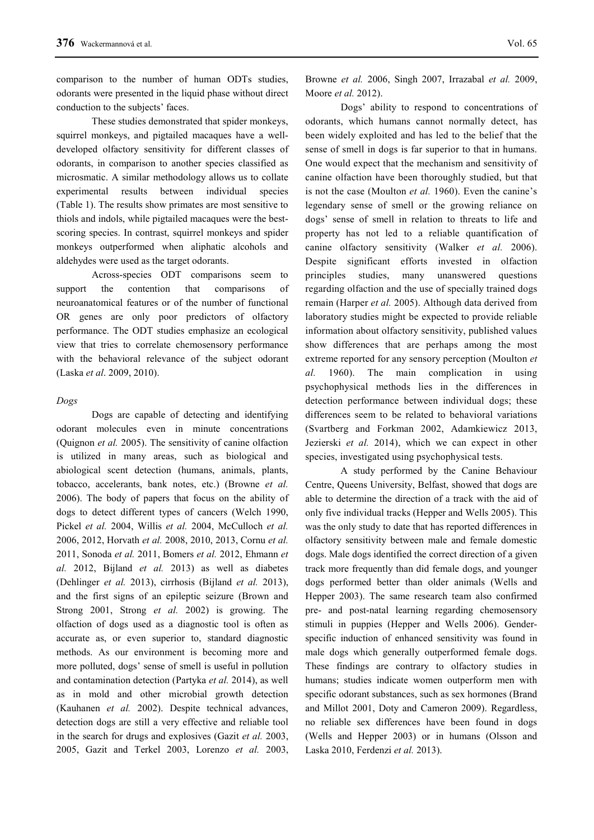comparison to the number of human ODTs studies, odorants were presented in the liquid phase without direct conduction to the subjects' faces.

These studies demonstrated that spider monkeys, squirrel monkeys, and pigtailed macaques have a welldeveloped olfactory sensitivity for different classes of odorants, in comparison to another species classified as microsmatic. A similar methodology allows us to collate experimental results between individual species (Table 1). The results show primates are most sensitive to thiols and indols, while pigtailed macaques were the bestscoring species. In contrast, squirrel monkeys and spider monkeys outperformed when aliphatic alcohols and aldehydes were used as the target odorants.

Across-species ODT comparisons seem to support the contention that comparisons of neuroanatomical features or of the number of functional OR genes are only poor predictors of olfactory performance. The ODT studies emphasize an ecological view that tries to correlate chemosensory performance with the behavioral relevance of the subject odorant (Laska *et al*. 2009, 2010).

## *Dogs*

Dogs are capable of detecting and identifying odorant molecules even in minute concentrations (Quignon *et al.* 2005). The sensitivity of canine olfaction is utilized in many areas, such as biological and abiological scent detection (humans, animals, plants, tobacco, accelerants, bank notes, etc.) (Browne *et al.* 2006). The body of papers that focus on the ability of dogs to detect different types of cancers (Welch 1990, Pickel *et al.* 2004, Willis *et al.* 2004, McCulloch *et al.* 2006, 2012, Horvath *et al.* 2008, 2010, 2013, Cornu *et al.* 2011, Sonoda *et al.* 2011, Bomers *et al.* 2012, Ehmann *et al.* 2012, Bijland *et al.* 2013) as well as diabetes (Dehlinger *et al.* 2013), cirrhosis (Bijland *et al.* 2013), and the first signs of an epileptic seizure (Brown and Strong 2001, Strong *et al.* 2002) is growing. The olfaction of dogs used as a diagnostic tool is often as accurate as, or even superior to, standard diagnostic methods. As our environment is becoming more and more polluted, dogs' sense of smell is useful in pollution and contamination detection (Partyka *et al.* 2014), as well as in mold and other microbial growth detection (Kauhanen *et al.* 2002). Despite technical advances, detection dogs are still a very effective and reliable tool in the search for drugs and explosives (Gazit *et al.* 2003, 2005, Gazit and Terkel 2003, Lorenzo *et al.* 2003,

Browne *et al.* 2006, Singh 2007, Irrazabal *et al.* 2009, Moore *et al.* 2012).

Dogs' ability to respond to concentrations of odorants, which humans cannot normally detect, has been widely exploited and has led to the belief that the sense of smell in dogs is far superior to that in humans. One would expect that the mechanism and sensitivity of canine olfaction have been thoroughly studied, but that is not the case (Moulton *et al.* 1960). Even the canine's legendary sense of smell or the growing reliance on dogs' sense of smell in relation to threats to life and property has not led to a reliable quantification of canine olfactory sensitivity (Walker *et al.* 2006). Despite significant efforts invested in olfaction principles studies, many unanswered questions regarding olfaction and the use of specially trained dogs remain (Harper *et al.* 2005). Although data derived from laboratory studies might be expected to provide reliable information about olfactory sensitivity, published values show differences that are perhaps among the most extreme reported for any sensory perception (Moulton *et al.* 1960). The main complication in using psychophysical methods lies in the differences in detection performance between individual dogs; these differences seem to be related to behavioral variations (Svartberg and Forkman 2002, Adamkiewicz 2013, Jezierski *et al.* 2014), which we can expect in other species, investigated using psychophysical tests.

A study performed by the Canine Behaviour Centre, Queens University, Belfast, showed that dogs are able to determine the direction of a track with the aid of only five individual tracks (Hepper and Wells 2005). This was the only study to date that has reported differences in olfactory sensitivity between male and female domestic dogs. Male dogs identified the correct direction of a given track more frequently than did female dogs, and younger dogs performed better than older animals (Wells and Hepper 2003). The same research team also confirmed pre- and post-natal learning regarding chemosensory stimuli in puppies (Hepper and Wells 2006). Genderspecific induction of enhanced sensitivity was found in male dogs which generally outperformed female dogs. These findings are contrary to olfactory studies in humans; studies indicate women outperform men with specific odorant substances, such as sex hormones (Brand and Millot 2001, Doty and Cameron 2009). Regardless, no reliable sex differences have been found in dogs (Wells and Hepper 2003) or in humans (Olsson and Laska 2010, Ferdenzi *et al.* 2013).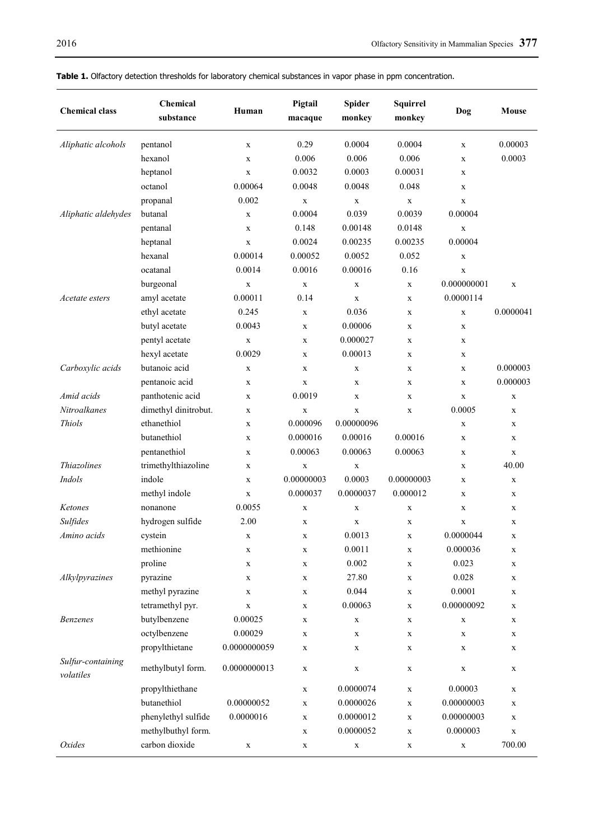| <b>Chemical class</b> | <b>Chemical</b><br>substance | Human                      | Pigtail<br>macaque         | <b>Spider</b><br>monkey    | <b>Squirrel</b><br>monkey | Dog                        | Mouse       |
|-----------------------|------------------------------|----------------------------|----------------------------|----------------------------|---------------------------|----------------------------|-------------|
| Aliphatic alcohols    | pentanol                     | $\mathbf X$                | 0.29                       | 0.0004                     | 0.0004                    | $\mathbf X$                | 0.00003     |
|                       | hexanol                      | $\mathbf X$                | 0.006                      | 0.006                      | 0.006                     | $\mathbf X$                | 0.0003      |
|                       | heptanol                     | $\mathbf X$                | 0.0032                     | 0.0003                     | 0.00031                   | $\mathbf X$                |             |
|                       | octanol                      | 0.00064                    | 0.0048                     | 0.0048                     | 0.048                     | $\mathbf X$                |             |
|                       | propanal                     | 0.002                      | $\mathbf X$                | $\mathbf X$                | $\mathbf X$               | $\mathbf X$                |             |
| Aliphatic aldehydes   | butanal                      | $\mathbf X$                | 0.0004                     | 0.039                      | 0.0039                    | 0.00004                    |             |
|                       | pentanal                     | $\mathbf X$                | 0.148                      | 0.00148                    | 0.0148                    | $\mathbf X$                |             |
|                       | heptanal                     | $\mathbf X$                | 0.0024                     | 0.00235                    | 0.00235                   | 0.00004                    |             |
|                       | hexanal                      | 0.00014                    | 0.00052                    | 0.0052                     | 0.052                     | $\mathbf X$                |             |
|                       | ocatanal                     | 0.0014                     | 0.0016                     | 0.00016                    | 0.16                      | $\mathbf X$                |             |
|                       | burgeonal                    | $\mathbf X$                | $\mathbf X$                | $\mathbf X$                | $\mathbf X$               | 0.000000001                | $\mathbf X$ |
| Acetate esters        | amyl acetate                 | 0.00011                    | 0.14                       | $\mathbf X$                | X                         | 0.0000114                  |             |
|                       | ethyl acetate                | 0.245                      | $\mathbf X$                | 0.036                      | X                         | $\mathbf X$                | 0.0000041   |
|                       | butyl acetate                | 0.0043                     | $\mathbf X$                | 0.00006                    | X                         | $\mathbf X$                |             |
|                       | pentyl acetate               | $\mathbf X$                | $\mathbf X$                | 0.000027                   | X                         | $\mathbf X$                |             |
|                       | hexyl acetate                | 0.0029                     | $\mathbf X$                | 0.00013                    | X                         | $\mathbf X$                |             |
| Carboxylic acids      | butanoic acid                | $\mathbf X$                | X                          | $\mathbf X$                | X                         | $\mathbf X$                | 0.000003    |
|                       | pentanoic acid               | $\mathbf X$                | $\mathbf X$                | $\mathbf X$                | X                         | $\mathbf X$                | 0.000003    |
| Amid acids            | panthotenic acid             | $\mathbf X$                | 0.0019                     | X                          | X                         | $\mathbf X$                | X           |
| Nitroalkanes          | dimethyl dinitrobut.         | $\mathbf X$                | $\mathbf X$                | $\mathbf X$                | X                         | 0.0005                     | $\mathbf X$ |
| <b>Thiols</b>         | ethanethiol                  | $\mathbf X$                | 0.000096                   | 0.00000096                 |                           | $\mathbf X$                | $\mathbf X$ |
|                       | butanethiol                  | $\mathbf X$                | 0.000016                   | 0.00016                    | 0.00016                   | $\mathbf X$                | $\mathbf X$ |
|                       | pentanethiol                 | $\mathbf X$                | 0.00063                    | 0.00063                    | 0.00063                   | $\mathbf X$                | X           |
| <i>Thiazolines</i>    | trimethylthiazoline          | $\mathbf X$                | $\mathbf X$                | $\mathbf X$                |                           | $\mathbf X$                | 40.00       |
| Indols                | indole                       | $\mathbf X$                | 0.00000003                 | 0.0003                     | 0.00000003                | $\mathbf X$                | X           |
|                       | methyl indole                | $\mathbf X$                | 0.000037                   | 0.0000037                  | 0.000012                  | $\mathbf X$                | $\mathbf X$ |
| Ketones               | nonanone                     | 0.0055                     | $\mathbf X$                | $\mathbf X$                | $\mathbf X$               | $\mathbf X$                | X           |
| Sulfides              | hydrogen sulfide             | 2.00                       | X                          | $\mathbf X$                | X                         | $\mathbf X$                | $\mathbf X$ |
| Amino acids           | cystein                      |                            |                            | 0.0013                     |                           | 0.0000044                  |             |
|                       | methionine                   | X<br>X                     | X<br>$\mathbf X$           | 0.0011                     | X<br>X                    | 0.000036                   | X<br>X      |
|                       | proline                      |                            |                            | 0.002                      |                           | 0.023                      |             |
| Alkylpyrazines        | pyrazine                     | $\mathbf X$<br>$\mathbf X$ | $\mathbf X$<br>$\mathbf X$ | 27.80                      | X<br>$\mathbf X$          | 0.028                      | X<br>X      |
|                       | methyl pyrazine              | $\mathbf X$                | $\mathbf X$                | 0.044                      | X                         | 0.0001                     | X           |
|                       | tetramethyl pyr.             | $\mathbf X$                |                            | 0.00063                    |                           | 0.00000092                 |             |
| <b>Benzenes</b>       | butylbenzene                 | 0.00025                    | X                          |                            | X                         | $\mathbf X$                | X           |
|                       | octylbenzene                 | 0.00029                    | $\mathbf X$<br>$\mathbf X$ | $\mathbf X$<br>$\mathbf X$ | X                         | $\mathbf X$                | X<br>X      |
|                       | propylthietane               | 0.0000000059               |                            |                            | X                         |                            |             |
| Sulfur-containing     | methylbutyl form.            | 0.0000000013               | $\mathbf X$<br>$\mathbf X$ | $\mathbf X$<br>$\mathbf X$ | X<br>X                    | $\mathbf X$<br>$\mathbf X$ | X<br>X      |
| volatiles             |                              |                            |                            |                            |                           |                            |             |
|                       | propylthiethane              |                            | $\mathbf X$                | 0.0000074                  | X                         | 0.00003                    | X           |
|                       | butanethiol                  | 0.00000052                 | $\mathbf X$                | 0.0000026                  | X                         | 0.00000003                 | X           |
|                       | phenylethyl sulfide          | 0.0000016                  | $\mathbf X$                | 0.0000012                  | X                         | 0.00000003                 | X           |
|                       | methylbuthyl form.           |                            | $\mathbf X$                | 0.0000052                  | X                         | 0.000003                   | $\mathbf X$ |
| Oxides                | carbon dioxide               | $\mathbf X$                | X                          | $\mathbf X$                | X                         | $\mathbf X$                | 700.00      |

## **Table 1.** Olfactory detection thresholds for laboratory chemical substances in vapor phase in ppm concentration.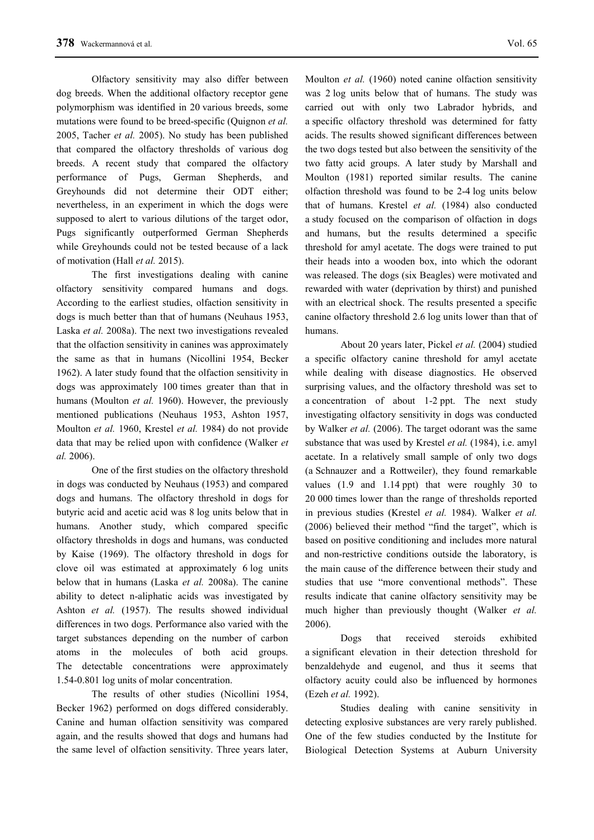Olfactory sensitivity may also differ between dog breeds. When the additional olfactory receptor gene polymorphism was identified in 20 various breeds, some mutations were found to be breed-specific (Quignon *et al.* 2005, Tacher *et al.* 2005). No study has been published that compared the olfactory thresholds of various dog breeds. A recent study that compared the olfactory performance of Pugs, German Shepherds, and Greyhounds did not determine their ODT either; nevertheless, in an experiment in which the dogs were supposed to alert to various dilutions of the target odor, Pugs significantly outperformed German Shepherds while Greyhounds could not be tested because of a lack of motivation (Hall *et al.* 2015).

The first investigations dealing with canine olfactory sensitivity compared humans and dogs. According to the earliest studies, olfaction sensitivity in dogs is much better than that of humans (Neuhaus 1953, Laska *et al.* 2008a). The next two investigations revealed that the olfaction sensitivity in canines was approximately the same as that in humans (Nicollini 1954, Becker 1962). A later study found that the olfaction sensitivity in dogs was approximately 100 times greater than that in humans (Moulton *et al.* 1960). However, the previously mentioned publications (Neuhaus 1953, Ashton 1957, Moulton *et al.* 1960, Krestel *et al.* 1984) do not provide data that may be relied upon with confidence (Walker *et al.* 2006).

One of the first studies on the olfactory threshold in dogs was conducted by Neuhaus (1953) and compared dogs and humans. The olfactory threshold in dogs for butyric acid and acetic acid was 8 log units below that in humans. Another study, which compared specific olfactory thresholds in dogs and humans, was conducted by Kaise (1969). The olfactory threshold in dogs for clove oil was estimated at approximately 6 log units below that in humans (Laska *et al.* 2008a). The canine ability to detect n-aliphatic acids was investigated by Ashton *et al.* (1957). The results showed individual differences in two dogs. Performance also varied with the target substances depending on the number of carbon atoms in the molecules of both acid groups. The detectable concentrations were approximately 1.54-0.801 log units of molar concentration.

The results of other studies (Nicollini 1954, Becker 1962) performed on dogs differed considerably. Canine and human olfaction sensitivity was compared again, and the results showed that dogs and humans had the same level of olfaction sensitivity. Three years later,

Moulton *et al.* (1960) noted canine olfaction sensitivity was 2 log units below that of humans. The study was carried out with only two Labrador hybrids, and a specific olfactory threshold was determined for fatty acids. The results showed significant differences between the two dogs tested but also between the sensitivity of the two fatty acid groups. A later study by Marshall and Moulton (1981) reported similar results. The canine olfaction threshold was found to be 2-4 log units below that of humans. Krestel *et al.* (1984) also conducted a study focused on the comparison of olfaction in dogs and humans, but the results determined a specific threshold for amyl acetate. The dogs were trained to put their heads into a wooden box, into which the odorant was released. The dogs (six Beagles) were motivated and rewarded with water (deprivation by thirst) and punished with an electrical shock. The results presented a specific canine olfactory threshold 2.6 log units lower than that of humans.

About 20 years later, Pickel *et al.* (2004) studied a specific olfactory canine threshold for amyl acetate while dealing with disease diagnostics. He observed surprising values, and the olfactory threshold was set to a concentration of about 1-2 ppt. The next study investigating olfactory sensitivity in dogs was conducted by Walker *et al.* (2006). The target odorant was the same substance that was used by Krestel *et al.* (1984), i.e. amyl acetate. In a relatively small sample of only two dogs (a Schnauzer and a Rottweiler), they found remarkable values (1.9 and 1.14 ppt) that were roughly 30 to 20 000 times lower than the range of thresholds reported in previous studies (Krestel *et al.* 1984). Walker *et al.* (2006) believed their method "find the target", which is based on positive conditioning and includes more natural and non-restrictive conditions outside the laboratory, is the main cause of the difference between their study and studies that use "more conventional methods". These results indicate that canine olfactory sensitivity may be much higher than previously thought (Walker *et al.* 2006).

Dogs that received steroids exhibited a significant elevation in their detection threshold for benzaldehyde and eugenol, and thus it seems that olfactory acuity could also be influenced by hormones (Ezeh *et al.* 1992).

Studies dealing with canine sensitivity in detecting explosive substances are very rarely published. One of the few studies conducted by the Institute for Biological Detection Systems at Auburn University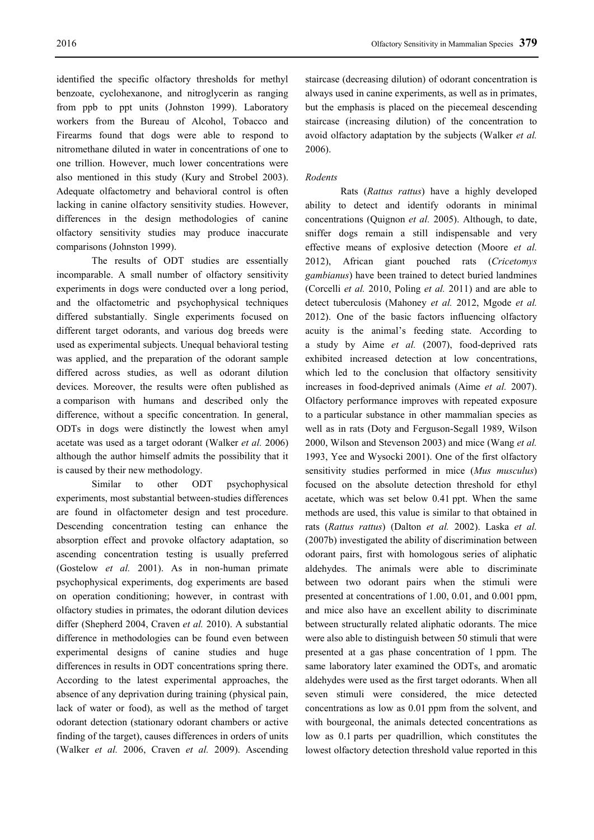identified the specific olfactory thresholds for methyl benzoate, cyclohexanone, and nitroglycerin as ranging from ppb to ppt units (Johnston 1999). Laboratory workers from the Bureau of Alcohol, Tobacco and Firearms found that dogs were able to respond to nitromethane diluted in water in concentrations of one to one trillion. However, much lower concentrations were also mentioned in this study (Kury and Strobel 2003). Adequate olfactometry and behavioral control is often lacking in canine olfactory sensitivity studies. However, differences in the design methodologies of canine olfactory sensitivity studies may produce inaccurate comparisons (Johnston 1999).

The results of ODT studies are essentially incomparable. A small number of olfactory sensitivity experiments in dogs were conducted over a long period, and the olfactometric and psychophysical techniques differed substantially. Single experiments focused on different target odorants, and various dog breeds were used as experimental subjects. Unequal behavioral testing was applied, and the preparation of the odorant sample differed across studies, as well as odorant dilution devices. Moreover, the results were often published as a comparison with humans and described only the difference, without a specific concentration. In general, ODTs in dogs were distinctly the lowest when amyl acetate was used as a target odorant (Walker *et al.* 2006) although the author himself admits the possibility that it is caused by their new methodology.

Similar to other ODT psychophysical experiments, most substantial between-studies differences are found in olfactometer design and test procedure. Descending concentration testing can enhance the absorption effect and provoke olfactory adaptation, so ascending concentration testing is usually preferred (Gostelow *et al.* 2001). As in non-human primate psychophysical experiments, dog experiments are based on operation conditioning; however, in contrast with olfactory studies in primates, the odorant dilution devices differ (Shepherd 2004, Craven *et al.* 2010). A substantial difference in methodologies can be found even between experimental designs of canine studies and huge differences in results in ODT concentrations spring there. According to the latest experimental approaches, the absence of any deprivation during training (physical pain, lack of water or food), as well as the method of target odorant detection (stationary odorant chambers or active finding of the target), causes differences in orders of units (Walker *et al.* 2006, Craven *et al.* 2009). Ascending staircase (decreasing dilution) of odorant concentration is always used in canine experiments, as well as in primates, but the emphasis is placed on the piecemeal descending staircase (increasing dilution) of the concentration to avoid olfactory adaptation by the subjects (Walker *et al.* 2006).

## *Rodents*

Rats (*Rattus rattus*) have a highly developed ability to detect and identify odorants in minimal concentrations (Quignon *et al.* 2005). Although, to date, sniffer dogs remain a still indispensable and very effective means of explosive detection (Moore *et al.* 2012), African giant pouched rats (*Cricetomys gambianus*) have been trained to detect buried landmines (Corcelli *et al.* 2010, Poling *et al.* 2011) and are able to detect tuberculosis (Mahoney *et al.* 2012, Mgode *et al.* 2012). One of the basic factors influencing olfactory acuity is the animal's feeding state. According to a study by Aime *et al.* (2007), food-deprived rats exhibited increased detection at low concentrations, which led to the conclusion that olfactory sensitivity increases in food-deprived animals (Aime *et al.* 2007). Olfactory performance improves with repeated exposure to a particular substance in other mammalian species as well as in rats (Doty and Ferguson-Segall 1989, Wilson 2000, Wilson and Stevenson 2003) and mice (Wang *et al.* 1993, Yee and Wysocki 2001). One of the first olfactory sensitivity studies performed in mice (*Mus musculus*) focused on the absolute detection threshold for ethyl acetate, which was set below 0.41 ppt. When the same methods are used, this value is similar to that obtained in rats (*Rattus rattus*) (Dalton *et al.* 2002). Laska *et al.* (2007b) investigated the ability of discrimination between odorant pairs, first with homologous series of aliphatic aldehydes. The animals were able to discriminate between two odorant pairs when the stimuli were presented at concentrations of 1.00, 0.01, and 0.001 ppm, and mice also have an excellent ability to discriminate between structurally related aliphatic odorants. The mice were also able to distinguish between 50 stimuli that were presented at a gas phase concentration of 1 ppm. The same laboratory later examined the ODTs, and aromatic aldehydes were used as the first target odorants. When all seven stimuli were considered, the mice detected concentrations as low as 0.01 ppm from the solvent, and with bourgeonal, the animals detected concentrations as low as 0.1 parts per quadrillion, which constitutes the lowest olfactory detection threshold value reported in this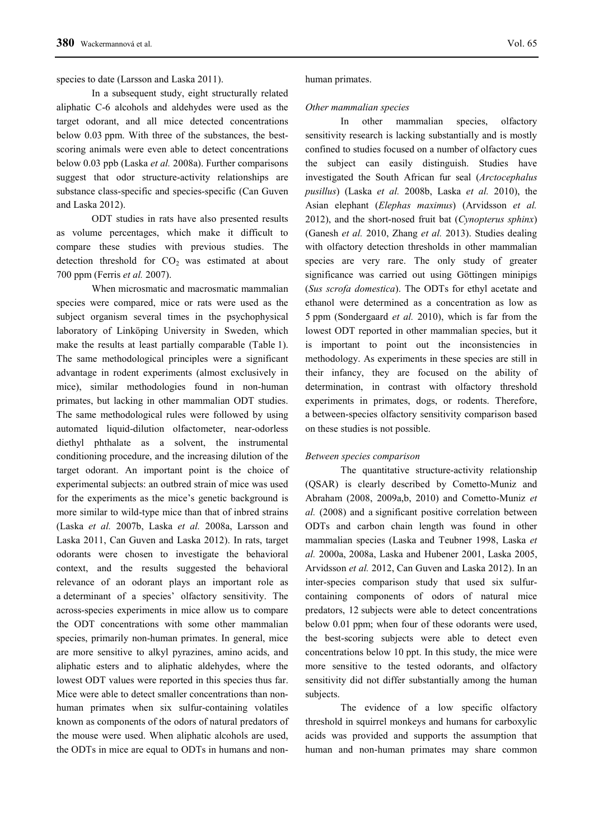In a subsequent study, eight structurally related aliphatic C-6 alcohols and aldehydes were used as the target odorant, and all mice detected concentrations below 0.03 ppm. With three of the substances, the bestscoring animals were even able to detect concentrations below 0.03 ppb (Laska *et al.* 2008a). Further comparisons suggest that odor structure-activity relationships are substance class-specific and species-specific (Can Guven and Laska 2012).

ODT studies in rats have also presented results as volume percentages, which make it difficult to compare these studies with previous studies. The detection threshold for  $CO<sub>2</sub>$  was estimated at about 700 ppm (Ferris *et al.* 2007).

When microsmatic and macrosmatic mammalian species were compared, mice or rats were used as the subject organism several times in the psychophysical laboratory of Linköping University in Sweden, which make the results at least partially comparable (Table 1). The same methodological principles were a significant advantage in rodent experiments (almost exclusively in mice), similar methodologies found in non-human primates, but lacking in other mammalian ODT studies. The same methodological rules were followed by using automated liquid-dilution olfactometer, near-odorless diethyl phthalate as a solvent, the instrumental conditioning procedure, and the increasing dilution of the target odorant. An important point is the choice of experimental subjects: an outbred strain of mice was used for the experiments as the mice's genetic background is more similar to wild-type mice than that of inbred strains (Laska *et al.* 2007b, Laska *et al.* 2008a, Larsson and Laska 2011, Can Guven and Laska 2012). In rats, target odorants were chosen to investigate the behavioral context, and the results suggested the behavioral relevance of an odorant plays an important role as a determinant of a species' olfactory sensitivity. The across-species experiments in mice allow us to compare the ODT concentrations with some other mammalian species, primarily non-human primates. In general, mice are more sensitive to alkyl pyrazines, amino acids, and aliphatic esters and to aliphatic aldehydes, where the lowest ODT values were reported in this species thus far. Mice were able to detect smaller concentrations than nonhuman primates when six sulfur-containing volatiles known as components of the odors of natural predators of the mouse were used. When aliphatic alcohols are used, the ODTs in mice are equal to ODTs in humans and non-

#### human primates.

#### *Other mammalian species*

In other mammalian species, olfactory sensitivity research is lacking substantially and is mostly confined to studies focused on a number of olfactory cues the subject can easily distinguish. Studies have investigated the South African fur seal (*Arctocephalus pusillus*) (Laska *et al.* 2008b, Laska *et al.* 2010), the Asian elephant (*Elephas maximus*) (Arvidsson *et al.* 2012), and the short-nosed fruit bat (*Cynopterus sphinx*) (Ganesh *et al.* 2010, Zhang *et al.* 2013). Studies dealing with olfactory detection thresholds in other mammalian species are very rare. The only study of greater significance was carried out using Göttingen minipigs (*Sus scrofa domestica*). The ODTs for ethyl acetate and ethanol were determined as a concentration as low as 5 ppm (Sondergaard *et al.* 2010), which is far from the lowest ODT reported in other mammalian species, but it is important to point out the inconsistencies in methodology. As experiments in these species are still in their infancy, they are focused on the ability of determination, in contrast with olfactory threshold experiments in primates, dogs, or rodents. Therefore, a between-species olfactory sensitivity comparison based on these studies is not possible.

## *Between species comparison*

The quantitative structure-activity relationship (QSAR) is clearly described by Cometto-Muniz and Abraham (2008, 2009a,b, 2010) and Cometto-Muniz *et al.* (2008) and a significant positive correlation between ODTs and carbon chain length was found in other mammalian species (Laska and Teubner 1998, Laska *et al.* 2000a, 2008a, Laska and Hubener 2001, Laska 2005, Arvidsson *et al.* 2012, Can Guven and Laska 2012). In an inter-species comparison study that used six sulfurcontaining components of odors of natural mice predators, 12 subjects were able to detect concentrations below 0.01 ppm; when four of these odorants were used, the best-scoring subjects were able to detect even concentrations below 10 ppt. In this study, the mice were more sensitive to the tested odorants, and olfactory sensitivity did not differ substantially among the human subjects.

The evidence of a low specific olfactory threshold in squirrel monkeys and humans for carboxylic acids was provided and supports the assumption that human and non-human primates may share common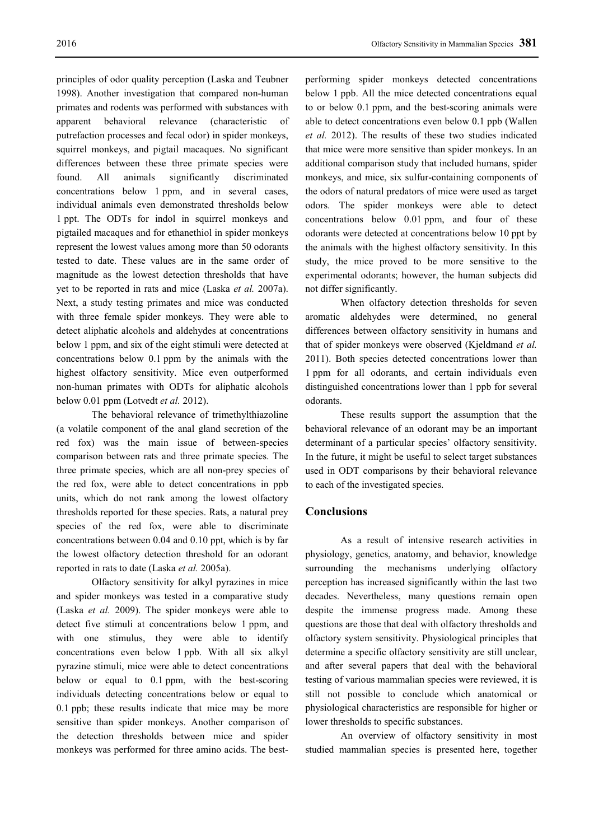principles of odor quality perception (Laska and Teubner 1998). Another investigation that compared non-human primates and rodents was performed with substances with apparent behavioral relevance (characteristic of putrefaction processes and fecal odor) in spider monkeys, squirrel monkeys, and pigtail macaques. No significant differences between these three primate species were found. All animals significantly discriminated concentrations below 1 ppm, and in several cases, individual animals even demonstrated thresholds below 1 ppt. The ODTs for indol in squirrel monkeys and pigtailed macaques and for ethanethiol in spider monkeys represent the lowest values among more than 50 odorants tested to date. These values are in the same order of magnitude as the lowest detection thresholds that have yet to be reported in rats and mice (Laska *et al.* 2007a). Next, a study testing primates and mice was conducted with three female spider monkeys. They were able to detect aliphatic alcohols and aldehydes at concentrations below 1 ppm, and six of the eight stimuli were detected at concentrations below 0.1 ppm by the animals with the highest olfactory sensitivity. Mice even outperformed non-human primates with ODTs for aliphatic alcohols below 0.01 ppm (Lotvedt *et al.* 2012).

The behavioral relevance of trimethylthiazoline (a volatile component of the anal gland secretion of the red fox) was the main issue of between-species comparison between rats and three primate species. The three primate species, which are all non-prey species of the red fox, were able to detect concentrations in ppb units, which do not rank among the lowest olfactory thresholds reported for these species. Rats, a natural prey species of the red fox, were able to discriminate concentrations between 0.04 and 0.10 ppt, which is by far the lowest olfactory detection threshold for an odorant reported in rats to date (Laska *et al.* 2005a).

Olfactory sensitivity for alkyl pyrazines in mice and spider monkeys was tested in a comparative study (Laska *et al.* 2009). The spider monkeys were able to detect five stimuli at concentrations below 1 ppm, and with one stimulus, they were able to identify concentrations even below 1 ppb. With all six alkyl pyrazine stimuli, mice were able to detect concentrations below or equal to 0.1 ppm, with the best-scoring individuals detecting concentrations below or equal to 0.1 ppb; these results indicate that mice may be more sensitive than spider monkeys. Another comparison of the detection thresholds between mice and spider monkeys was performed for three amino acids. The bestperforming spider monkeys detected concentrations below 1 ppb. All the mice detected concentrations equal to or below 0.1 ppm, and the best-scoring animals were able to detect concentrations even below 0.1 ppb (Wallen *et al.* 2012). The results of these two studies indicated that mice were more sensitive than spider monkeys. In an additional comparison study that included humans, spider monkeys, and mice, six sulfur-containing components of the odors of natural predators of mice were used as target odors. The spider monkeys were able to detect concentrations below 0.01 ppm, and four of these odorants were detected at concentrations below 10 ppt by the animals with the highest olfactory sensitivity. In this study, the mice proved to be more sensitive to the experimental odorants; however, the human subjects did not differ significantly.

When olfactory detection thresholds for seven aromatic aldehydes were determined, no general differences between olfactory sensitivity in humans and that of spider monkeys were observed (Kjeldmand *et al.* 2011). Both species detected concentrations lower than 1 ppm for all odorants, and certain individuals even distinguished concentrations lower than 1 ppb for several odorants.

These results support the assumption that the behavioral relevance of an odorant may be an important determinant of a particular species' olfactory sensitivity. In the future, it might be useful to select target substances used in ODT comparisons by their behavioral relevance to each of the investigated species.

## **Conclusions**

As a result of intensive research activities in physiology, genetics, anatomy, and behavior, knowledge surrounding the mechanisms underlying olfactory perception has increased significantly within the last two decades. Nevertheless, many questions remain open despite the immense progress made. Among these questions are those that deal with olfactory thresholds and olfactory system sensitivity. Physiological principles that determine a specific olfactory sensitivity are still unclear, and after several papers that deal with the behavioral testing of various mammalian species were reviewed, it is still not possible to conclude which anatomical or physiological characteristics are responsible for higher or lower thresholds to specific substances.

An overview of olfactory sensitivity in most studied mammalian species is presented here, together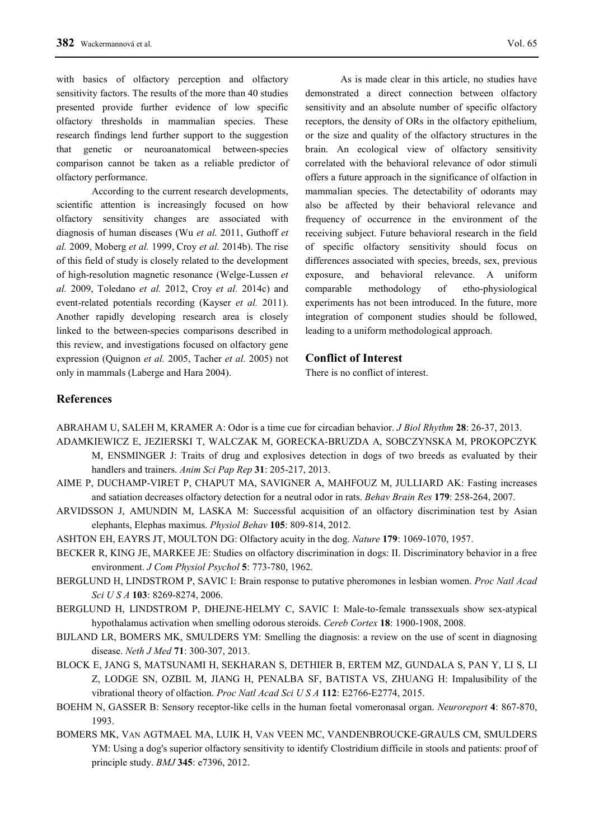with basics of olfactory perception and olfactory sensitivity factors. The results of the more than 40 studies presented provide further evidence of low specific olfactory thresholds in mammalian species. These research findings lend further support to the suggestion that genetic or neuroanatomical between-species comparison cannot be taken as a reliable predictor of olfactory performance.

According to the current research developments, scientific attention is increasingly focused on how olfactory sensitivity changes are associated with diagnosis of human diseases (Wu *et al.* 2011, Guthoff *et al.* 2009, Moberg *et al.* 1999, Croy *et al.* 2014b). The rise of this field of study is closely related to the development of high-resolution magnetic resonance (Welge-Lussen *et al.* 2009, Toledano *et al.* 2012, Croy *et al.* 2014c) and event-related potentials recording (Kayser *et al.* 2011). Another rapidly developing research area is closely linked to the between-species comparisons described in this review, and investigations focused on olfactory gene expression (Quignon *et al.* 2005, Tacher *et al.* 2005) not only in mammals (Laberge and Hara 2004).

As is made clear in this article, no studies have demonstrated a direct connection between olfactory sensitivity and an absolute number of specific olfactory receptors, the density of ORs in the olfactory epithelium, or the size and quality of the olfactory structures in the brain. An ecological view of olfactory sensitivity correlated with the behavioral relevance of odor stimuli offers a future approach in the significance of olfaction in mammalian species. The detectability of odorants may also be affected by their behavioral relevance and frequency of occurrence in the environment of the receiving subject. Future behavioral research in the field of specific olfactory sensitivity should focus on differences associated with species, breeds, sex, previous exposure, and behavioral relevance. A uniform comparable methodology of etho-physiological experiments has not been introduced. In the future, more integration of component studies should be followed, leading to a uniform methodological approach.

## **Conflict of Interest**

There is no conflict of interest.

# **References**

ABRAHAM U, SALEH M, KRAMER A: Odor is a time cue for circadian behavior. *J Biol Rhythm* **28**: 26-37, 2013.

- ADAMKIEWICZ E, JEZIERSKI T, WALCZAK M, GORECKA-BRUZDA A, SOBCZYNSKA M, PROKOPCZYK
	- M, ENSMINGER J: Traits of drug and explosives detection in dogs of two breeds as evaluated by their handlers and trainers. *Anim Sci Pap Rep* **31**: 205-217, 2013.
- AIME P, DUCHAMP-VIRET P, CHAPUT MA, SAVIGNER A, MAHFOUZ M, JULLIARD AK: Fasting increases and satiation decreases olfactory detection for a neutral odor in rats. *Behav Brain Res* **179**: 258-264, 2007.
- ARVIDSSON J, AMUNDIN M, LASKA M: Successful acquisition of an olfactory discrimination test by Asian elephants, Elephas maximus. *Physiol Behav* **105**: 809-814, 2012.
- ASHTON EH, EAYRS JT, MOULTON DG: Olfactory acuity in the dog. *Nature* **179**: 1069-1070, 1957.
- BECKER R, KING JE, MARKEE JE: Studies on olfactory discrimination in dogs: II. Discriminatory behavior in a free environment. *J Com Physiol Psychol* **5**: 773-780, 1962.
- BERGLUND H, LINDSTROM P, SAVIC I: Brain response to putative pheromones in lesbian women. *Proc Natl Acad Sci U S A* **103**: 8269-8274, 2006.
- BERGLUND H, LINDSTROM P, DHEJNE-HELMY C, SAVIC I: Male-to-female transsexuals show sex-atypical hypothalamus activation when smelling odorous steroids. *Cereb Cortex* **18**: 1900-1908, 2008.
- BIJLAND LR, BOMERS MK, SMULDERS YM: Smelling the diagnosis: a review on the use of scent in diagnosing disease. *Neth J Med* **71**: 300-307, 2013.
- BLOCK E, JANG S, MATSUNAMI H, SEKHARAN S, DETHIER B, ERTEM MZ, GUNDALA S, PAN Y, LI S, LI Z, LODGE SN, OZBIL M, JIANG H, PENALBA SF, BATISTA VS, ZHUANG H: Impalusibility of the vibrational theory of olfaction. *Proc Natl Acad Sci U S A* **112**: E2766-E2774, 2015.
- BOEHM N, GASSER B: Sensory receptor-like cells in the human foetal vomeronasal organ. *Neuroreport* **4**: 867-870, 1993.
- BOMERS MK, VAN AGTMAEL MA, LUIK H, VAN VEEN MC, VANDENBROUCKE-GRAULS CM, SMULDERS YM: Using a dog's superior olfactory sensitivity to identify Clostridium difficile in stools and patients: proof of principle study. *BMJ* **345**: e7396, 2012.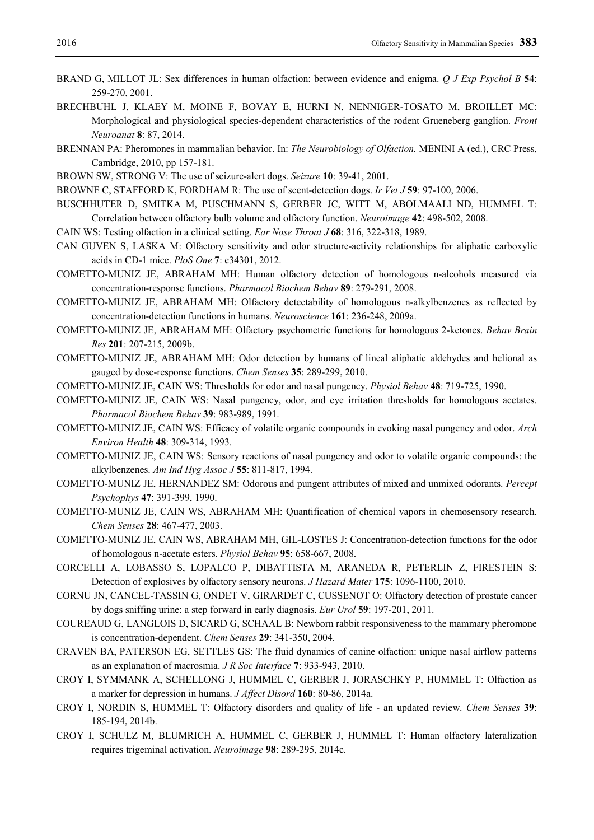- BRAND G, MILLOT JL: Sex differences in human olfaction: between evidence and enigma. *Q J Exp Psychol B* **54**: 259-270, 2001.
- BRECHBUHL J, KLAEY M, MOINE F, BOVAY E, HURNI N, NENNIGER-TOSATO M, BROILLET MC: Morphological and physiological species-dependent characteristics of the rodent Grueneberg ganglion. *Front Neuroanat* **8**: 87, 2014.
- BRENNAN PA: Pheromones in mammalian behavior. In: *The Neurobiology of Olfaction.* MENINI A (ed.), CRC Press, Cambridge, 2010, pp 157-181.
- BROWN SW, STRONG V: The use of seizure-alert dogs. *Seizure* **10**: 39-41, 2001.
- BROWNE C, STAFFORD K, FORDHAM R: The use of scent-detection dogs. *Ir Vet J* **59**: 97-100, 2006.
- BUSCHHUTER D, SMITKA M, PUSCHMANN S, GERBER JC, WITT M, ABOLMAALI ND, HUMMEL T: Correlation between olfactory bulb volume and olfactory function. *Neuroimage* **42**: 498-502, 2008.
- CAIN WS: Testing olfaction in a clinical setting. *Ear Nose Throat J* **68**: 316, 322-318, 1989.
- CAN GUVEN S, LASKA M: Olfactory sensitivity and odor structure-activity relationships for aliphatic carboxylic acids in CD-1 mice. *PloS One* **7**: e34301, 2012.
- COMETTO-MUNIZ JE, ABRAHAM MH: Human olfactory detection of homologous n-alcohols measured via concentration-response functions. *Pharmacol Biochem Behav* **89**: 279-291, 2008.
- COMETTO-MUNIZ JE, ABRAHAM MH: Olfactory detectability of homologous n-alkylbenzenes as reflected by concentration-detection functions in humans. *Neuroscience* **161**: 236-248, 2009a.
- COMETTO-MUNIZ JE, ABRAHAM MH: Olfactory psychometric functions for homologous 2-ketones. *Behav Brain Res* **201**: 207-215, 2009b.
- COMETTO-MUNIZ JE, ABRAHAM MH: Odor detection by humans of lineal aliphatic aldehydes and helional as gauged by dose-response functions. *Chem Senses* **35**: 289-299, 2010.
- COMETTO-MUNIZ JE, CAIN WS: Thresholds for odor and nasal pungency. *Physiol Behav* **48**: 719-725, 1990.
- COMETTO-MUNIZ JE, CAIN WS: Nasal pungency, odor, and eye irritation thresholds for homologous acetates. *Pharmacol Biochem Behav* **39**: 983-989, 1991.
- COMETTO-MUNIZ JE, CAIN WS: Efficacy of volatile organic compounds in evoking nasal pungency and odor. *Arch Environ Health* **48**: 309-314, 1993.
- COMETTO-MUNIZ JE, CAIN WS: Sensory reactions of nasal pungency and odor to volatile organic compounds: the alkylbenzenes. *Am Ind Hyg Assoc J* **55**: 811-817, 1994.
- COMETTO-MUNIZ JE, HERNANDEZ SM: Odorous and pungent attributes of mixed and unmixed odorants. *Percept Psychophys* **47**: 391-399, 1990.
- COMETTO-MUNIZ JE, CAIN WS, ABRAHAM MH: Quantification of chemical vapors in chemosensory research. *Chem Senses* **28**: 467-477, 2003.
- COMETTO-MUNIZ JE, CAIN WS, ABRAHAM MH, GIL-LOSTES J: Concentration-detection functions for the odor of homologous n-acetate esters. *Physiol Behav* **95**: 658-667, 2008.
- CORCELLI A, LOBASSO S, LOPALCO P, DIBATTISTA M, ARANEDA R, PETERLIN Z, FIRESTEIN S: Detection of explosives by olfactory sensory neurons. *J Hazard Mater* **175**: 1096-1100, 2010.
- CORNU JN, CANCEL-TASSIN G, ONDET V, GIRARDET C, CUSSENOT O: Olfactory detection of prostate cancer by dogs sniffing urine: a step forward in early diagnosis. *Eur Urol* **59**: 197-201, 2011.
- COUREAUD G, LANGLOIS D, SICARD G, SCHAAL B: Newborn rabbit responsiveness to the mammary pheromone is concentration-dependent. *Chem Senses* **29**: 341-350, 2004.
- CRAVEN BA, PATERSON EG, SETTLES GS: The fluid dynamics of canine olfaction: unique nasal airflow patterns as an explanation of macrosmia. *J R Soc Interface* **7**: 933-943, 2010.
- CROY I, SYMMANK A, SCHELLONG J, HUMMEL C, GERBER J, JORASCHKY P, HUMMEL T: Olfaction as a marker for depression in humans. *J Affect Disord* **160**: 80-86, 2014a.
- CROY I, NORDIN S, HUMMEL T: Olfactory disorders and quality of life an updated review. *Chem Senses* **39**: 185-194, 2014b.
- CROY I, SCHULZ M, BLUMRICH A, HUMMEL C, GERBER J, HUMMEL T: Human olfactory lateralization requires trigeminal activation. *Neuroimage* **98**: 289-295, 2014c.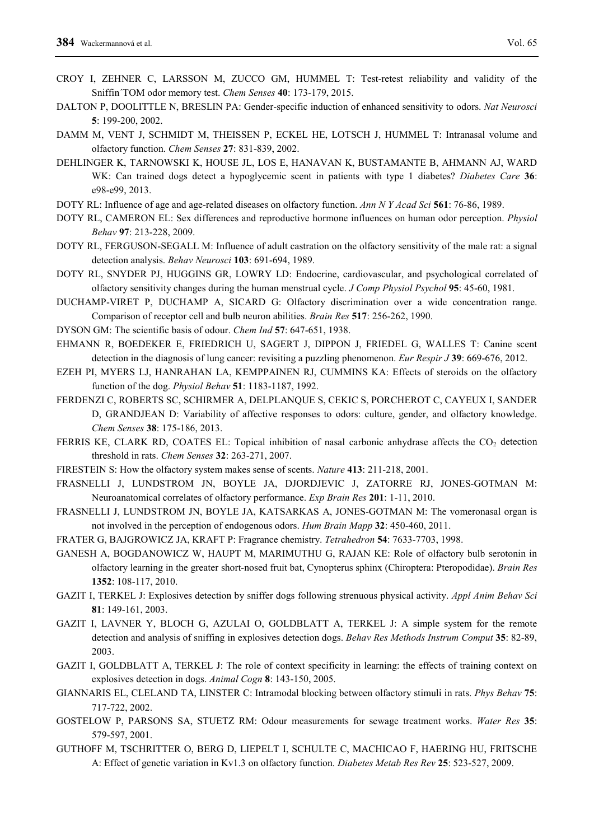- CROY I, ZEHNER C, LARSSON M, ZUCCO GM, HUMMEL T: Test-retest reliability and validity of the Sniffin´TOM odor memory test. *Chem Senses* **40**: 173-179, 2015.
- DALTON P, DOOLITTLE N, BRESLIN PA: Gender-specific induction of enhanced sensitivity to odors. *Nat Neurosci*  **5**: 199-200, 2002.
- DAMM M, VENT J, SCHMIDT M, THEISSEN P, ECKEL HE, LOTSCH J, HUMMEL T: Intranasal volume and olfactory function. *Chem Senses* **27**: 831-839, 2002.
- DEHLINGER K, TARNOWSKI K, HOUSE JL, LOS E, HANAVAN K, BUSTAMANTE B, AHMANN AJ, WARD WK: Can trained dogs detect a hypoglycemic scent in patients with type 1 diabetes? *Diabetes Care* **36**: e98-e99, 2013.
- DOTY RL: Influence of age and age-related diseases on olfactory function. *Ann N Y Acad Sci* **561**: 76-86, 1989.
- DOTY RL, CAMERON EL: Sex differences and reproductive hormone influences on human odor perception. *Physiol Behav* **97**: 213-228, 2009.
- DOTY RL, FERGUSON-SEGALL M: Influence of adult castration on the olfactory sensitivity of the male rat: a signal detection analysis. *Behav Neurosci* **103**: 691-694, 1989.
- DOTY RL, SNYDER PJ, HUGGINS GR, LOWRY LD: Endocrine, cardiovascular, and psychological correlated of olfactory sensitivity changes during the human menstrual cycle. *J Comp Physiol Psychol* **95**: 45-60, 1981.
- DUCHAMP-VIRET P, DUCHAMP A, SICARD G: Olfactory discrimination over a wide concentration range. Comparison of receptor cell and bulb neuron abilities. *Brain Res* **517**: 256-262, 1990.
- DYSON GM: The scientific basis of odour. *Chem Ind* **57**: 647-651, 1938.
- EHMANN R, BOEDEKER E, FRIEDRICH U, SAGERT J, DIPPON J, FRIEDEL G, WALLES T: Canine scent detection in the diagnosis of lung cancer: revisiting a puzzling phenomenon. *Eur Respir J* **39**: 669-676, 2012.
- EZEH PI, MYERS LJ, HANRAHAN LA, KEMPPAINEN RJ, CUMMINS KA: Effects of steroids on the olfactory function of the dog. *Physiol Behav* **51**: 1183-1187, 1992.
- FERDENZI C, ROBERTS SC, SCHIRMER A, DELPLANQUE S, CEKIC S, PORCHEROT C, CAYEUX I, SANDER D, GRANDJEAN D: Variability of affective responses to odors: culture, gender, and olfactory knowledge. *Chem Senses* **38**: 175-186, 2013.
- FERRIS KE, CLARK RD, COATES EL: Topical inhibition of nasal carbonic anhydrase affects the CO<sub>2</sub> detection threshold in rats. *Chem Senses* **32**: 263-271, 2007.
- FIRESTEIN S: How the olfactory system makes sense of scents. *Nature* **413**: 211-218, 2001.
- FRASNELLI J, LUNDSTROM JN, BOYLE JA, DJORDJEVIC J, ZATORRE RJ, JONES-GOTMAN M: Neuroanatomical correlates of olfactory performance. *Exp Brain Res* **201**: 1-11, 2010.
- FRASNELLI J, LUNDSTROM JN, BOYLE JA, KATSARKAS A, JONES-GOTMAN M: The vomeronasal organ is not involved in the perception of endogenous odors. *Hum Brain Mapp* **32**: 450-460, 2011.
- FRATER G, BAJGROWICZ JA, KRAFT P: Fragrance chemistry. *Tetrahedron* **54**: 7633-7703, 1998.
- GANESH A, BOGDANOWICZ W, HAUPT M, MARIMUTHU G, RAJAN KE: Role of olfactory bulb serotonin in olfactory learning in the greater short-nosed fruit bat, Cynopterus sphinx (Chiroptera: Pteropodidae). *Brain Res* **1352**: 108-117, 2010.
- GAZIT I, TERKEL J: Explosives detection by sniffer dogs following strenuous physical activity. *Appl Anim Behav Sci* **81**: 149-161, 2003.
- GAZIT I, LAVNER Y, BLOCH G, AZULAI O, GOLDBLATT A, TERKEL J: A simple system for the remote detection and analysis of sniffing in explosives detection dogs. *Behav Res Methods Instrum Comput* **35**: 82-89, 2003.
- GAZIT I, GOLDBLATT A, TERKEL J: The role of context specificity in learning: the effects of training context on explosives detection in dogs. *Animal Cogn* **8**: 143-150, 2005.
- GIANNARIS EL, CLELAND TA, LINSTER C: Intramodal blocking between olfactory stimuli in rats. *Phys Behav* **75**: 717-722, 2002.
- GOSTELOW P, PARSONS SA, STUETZ RM: Odour measurements for sewage treatment works. *Water Res* **35**: 579-597, 2001.
- GUTHOFF M, TSCHRITTER O, BERG D, LIEPELT I, SCHULTE C, MACHICAO F, HAERING HU, FRITSCHE A: Effect of genetic variation in Kv1.3 on olfactory function. *Diabetes Metab Res Rev* **25**: 523-527, 2009.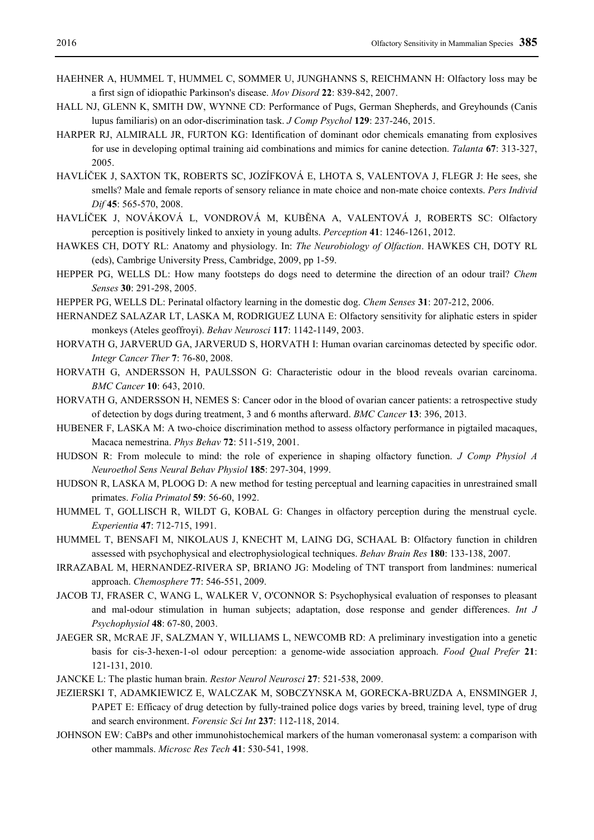- HAEHNER A, HUMMEL T, HUMMEL C, SOMMER U, JUNGHANNS S, REICHMANN H: Olfactory loss may be a first sign of idiopathic Parkinson's disease. *Mov Disord* **22**: 839-842, 2007.
- HALL NJ, GLENN K, SMITH DW, WYNNE CD: Performance of Pugs, German Shepherds, and Greyhounds (Canis lupus familiaris) on an odor-discrimination task. *J Comp Psychol* **129**: 237-246, 2015.
- HARPER RJ, ALMIRALL JR, FURTON KG: Identification of dominant odor chemicals emanating from explosives for use in developing optimal training aid combinations and mimics for canine detection. *Talanta* **67**: 313-327, 2005.
- HAVLÍČEK J, SAXTON TK, ROBERTS SC, JOZÍFKOVÁ E, LHOTA S, VALENTOVA J, FLEGR J: He sees, she smells? Male and female reports of sensory reliance in mate choice and non-mate choice contexts. *Pers Individ Dif* **45**: 565-570, 2008.
- HAVLÍČEK J, NOVÁKOVÁ L, VONDROVÁ M, KUBĚNA A, VALENTOVÁ J, ROBERTS SC: Olfactory perception is positively linked to anxiety in young adults. *Perception* **41**: 1246-1261, 2012.
- HAWKES CH, DOTY RL: Anatomy and physiology. In: *The Neurobiology of Olfaction*. HAWKES CH, DOTY RL (eds), Cambrige University Press, Cambridge, 2009, pp 1-59.
- HEPPER PG, WELLS DL: How many footsteps do dogs need to determine the direction of an odour trail? *Chem Senses* **30**: 291-298, 2005.
- HEPPER PG, WELLS DL: Perinatal olfactory learning in the domestic dog. *Chem Senses* **31**: 207-212, 2006.
- HERNANDEZ SALAZAR LT, LASKA M, RODRIGUEZ LUNA E: Olfactory sensitivity for aliphatic esters in spider monkeys (Ateles geoffroyi). *Behav Neurosci* **117**: 1142-1149, 2003.
- HORVATH G, JARVERUD GA, JARVERUD S, HORVATH I: Human ovarian carcinomas detected by specific odor. *Integr Cancer Ther* **7**: 76-80, 2008.
- HORVATH G, ANDERSSON H, PAULSSON G: Characteristic odour in the blood reveals ovarian carcinoma. *BMC Cancer* **10**: 643, 2010.
- HORVATH G, ANDERSSON H, NEMES S: Cancer odor in the blood of ovarian cancer patients: a retrospective study of detection by dogs during treatment, 3 and 6 months afterward. *BMC Cancer* **13**: 396, 2013.
- HUBENER F, LASKA M: A two-choice discrimination method to assess olfactory performance in pigtailed macaques, Macaca nemestrina. *Phys Behav* **72**: 511-519, 2001.
- HUDSON R: From molecule to mind: the role of experience in shaping olfactory function. *J Comp Physiol A Neuroethol Sens Neural Behav Physiol* **185**: 297-304, 1999.
- HUDSON R, LASKA M, PLOOG D: A new method for testing perceptual and learning capacities in unrestrained small primates. *Folia Primatol* **59**: 56-60, 1992.
- HUMMEL T, GOLLISCH R, WILDT G, KOBAL G: Changes in olfactory perception during the menstrual cycle. *Experientia* **47**: 712-715, 1991.
- HUMMEL T, BENSAFI M, NIKOLAUS J, KNECHT M, LAING DG, SCHAAL B: Olfactory function in children assessed with psychophysical and electrophysiological techniques. *Behav Brain Res* **180**: 133-138, 2007.
- IRRAZABAL M, HERNANDEZ-RIVERA SP, BRIANO JG: Modeling of TNT transport from landmines: numerical approach. *Chemosphere* **77**: 546-551, 2009.
- JACOB TJ, FRASER C, WANG L, WALKER V, O'CONNOR S: Psychophysical evaluation of responses to pleasant and mal-odour stimulation in human subjects; adaptation, dose response and gender differences. *Int J Psychophysiol* **48**: 67-80, 2003.
- JAEGER SR, MCRAE JF, SALZMAN Y, WILLIAMS L, NEWCOMB RD: A preliminary investigation into a genetic basis for cis-3-hexen-1-ol odour perception: a genome-wide association approach. *Food Qual Prefer* **21**: 121-131, 2010.
- JANCKE L: The plastic human brain. *Restor Neurol Neurosci* **27**: 521-538, 2009.
- JEZIERSKI T, ADAMKIEWICZ E, WALCZAK M, SOBCZYNSKA M, GORECKA-BRUZDA A, ENSMINGER J, PAPET E: Efficacy of drug detection by fully-trained police dogs varies by breed, training level, type of drug and search environment. *Forensic Sci Int* **237**: 112-118, 2014.
- JOHNSON EW: CaBPs and other immunohistochemical markers of the human vomeronasal system: a comparison with other mammals. *Microsc Res Tech* **41**: 530-541, 1998.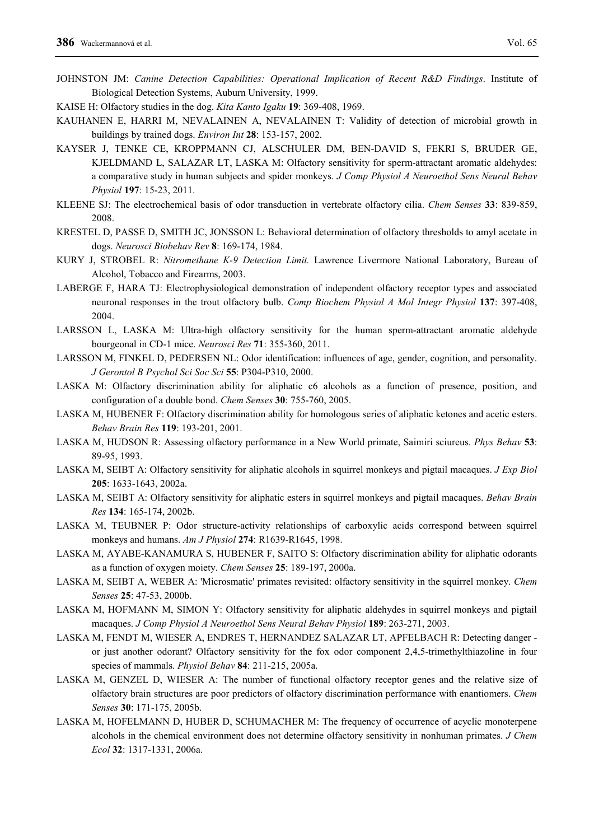- JOHNSTON JM: *Canine Detection Capabilities: Operational Implication of Recent R&D Findings*. Institute of Biological Detection Systems, Auburn University, 1999.
- KAISE H: Olfactory studies in the dog. *Kita Kanto Igaku* **19**: 369-408, 1969.
- KAUHANEN E, HARRI M, NEVALAINEN A, NEVALAINEN T: Validity of detection of microbial growth in buildings by trained dogs. *Environ Int* **28**: 153-157, 2002.
- KAYSER J, TENKE CE, KROPPMANN CJ, ALSCHULER DM, BEN-DAVID S, FEKRI S, BRUDER GE, KJELDMAND L, SALAZAR LT, LASKA M: Olfactory sensitivity for sperm-attractant aromatic aldehydes: a comparative study in human subjects and spider monkeys. *J Comp Physiol A Neuroethol Sens Neural Behav Physiol* **197**: 15-23, 2011.
- KLEENE SJ: The electrochemical basis of odor transduction in vertebrate olfactory cilia. *Chem Senses* **33**: 839-859, 2008.
- KRESTEL D, PASSE D, SMITH JC, JONSSON L: Behavioral determination of olfactory thresholds to amyl acetate in dogs. *Neurosci Biobehav Rev* **8**: 169-174, 1984.
- KURY J, STROBEL R: *Nitromethane K-9 Detection Limit.* Lawrence Livermore National Laboratory, Bureau of Alcohol, Tobacco and Firearms, 2003.
- LABERGE F, HARA TJ: Electrophysiological demonstration of independent olfactory receptor types and associated neuronal responses in the trout olfactory bulb. *Comp Biochem Physiol A Mol Integr Physiol* **137**: 397-408, 2004.
- LARSSON L, LASKA M: Ultra-high olfactory sensitivity for the human sperm-attractant aromatic aldehyde bourgeonal in CD-1 mice. *Neurosci Res* **71**: 355-360, 2011.
- LARSSON M, FINKEL D, PEDERSEN NL: Odor identification: influences of age, gender, cognition, and personality. *J Gerontol B Psychol Sci Soc Sci* **55**: P304-P310, 2000.
- LASKA M: Olfactory discrimination ability for aliphatic c6 alcohols as a function of presence, position, and configuration of a double bond. *Chem Senses* **30**: 755-760, 2005.
- LASKA M, HUBENER F: Olfactory discrimination ability for homologous series of aliphatic ketones and acetic esters. *Behav Brain Res* **119**: 193-201, 2001.
- LASKA M, HUDSON R: Assessing olfactory performance in a New World primate, Saimiri sciureus. *Phys Behav* **53**: 89-95, 1993.
- LASKA M, SEIBT A: Olfactory sensitivity for aliphatic alcohols in squirrel monkeys and pigtail macaques. *J Exp Biol* **205**: 1633-1643, 2002a.
- LASKA M, SEIBT A: Olfactory sensitivity for aliphatic esters in squirrel monkeys and pigtail macaques. *Behav Brain Res* **134**: 165-174, 2002b.
- LASKA M, TEUBNER P: Odor structure-activity relationships of carboxylic acids correspond between squirrel monkeys and humans. *Am J Physiol* **274**: R1639-R1645, 1998.
- LASKA M, AYABE-KANAMURA S, HUBENER F, SAITO S: Olfactory discrimination ability for aliphatic odorants as a function of oxygen moiety. *Chem Senses* **25**: 189-197, 2000a.
- LASKA M, SEIBT A, WEBER A: 'Microsmatic' primates revisited: olfactory sensitivity in the squirrel monkey. *Chem Senses* **25**: 47-53, 2000b.
- LASKA M, HOFMANN M, SIMON Y: Olfactory sensitivity for aliphatic aldehydes in squirrel monkeys and pigtail macaques. *J Comp Physiol A Neuroethol Sens Neural Behav Physiol* **189**: 263-271, 2003.
- LASKA M, FENDT M, WIESER A, ENDRES T, HERNANDEZ SALAZAR LT, APFELBACH R: Detecting danger or just another odorant? Olfactory sensitivity for the fox odor component 2,4,5-trimethylthiazoline in four species of mammals. *Physiol Behav* **84**: 211-215, 2005a.
- LASKA M, GENZEL D, WIESER A: The number of functional olfactory receptor genes and the relative size of olfactory brain structures are poor predictors of olfactory discrimination performance with enantiomers. *Chem Senses* **30**: 171-175, 2005b.
- LASKA M, HOFELMANN D, HUBER D, SCHUMACHER M: The frequency of occurrence of acyclic monoterpene alcohols in the chemical environment does not determine olfactory sensitivity in nonhuman primates. *J Chem Ecol* **32**: 1317-1331, 2006a.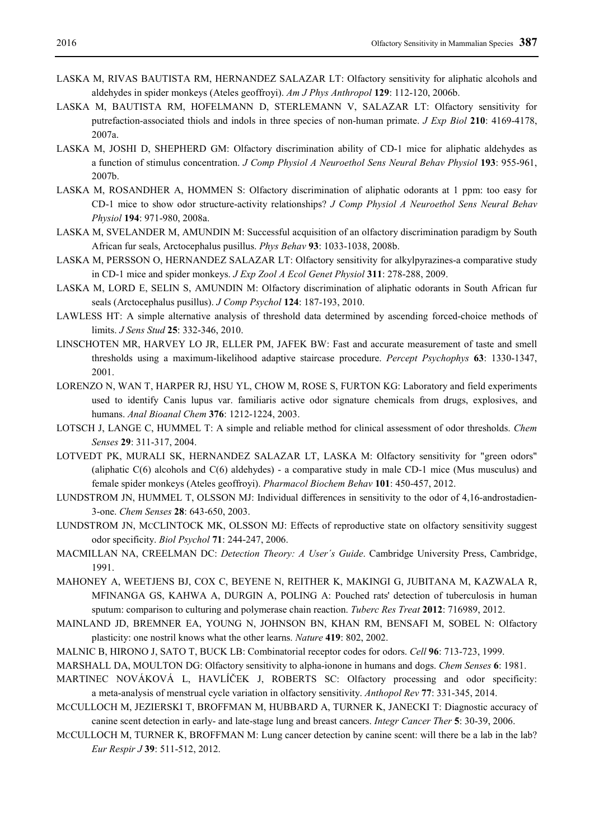- LASKA M, RIVAS BAUTISTA RM, HERNANDEZ SALAZAR LT: Olfactory sensitivity for aliphatic alcohols and aldehydes in spider monkeys (Ateles geoffroyi). *Am J Phys Anthropol* **129**: 112-120, 2006b.
- LASKA M, BAUTISTA RM, HOFELMANN D, STERLEMANN V, SALAZAR LT: Olfactory sensitivity for putrefaction-associated thiols and indols in three species of non-human primate. *J Exp Biol* **210**: 4169-4178, 2007a.
- LASKA M, JOSHI D, SHEPHERD GM: Olfactory discrimination ability of CD-1 mice for aliphatic aldehydes as a function of stimulus concentration. *J Comp Physiol A Neuroethol Sens Neural Behav Physiol* **193**: 955-961, 2007b.
- LASKA M, ROSANDHER A, HOMMEN S: Olfactory discrimination of aliphatic odorants at 1 ppm: too easy for CD-1 mice to show odor structure-activity relationships? *J Comp Physiol A Neuroethol Sens Neural Behav Physiol* **194**: 971-980, 2008a.
- LASKA M, SVELANDER M, AMUNDIN M: Successful acquisition of an olfactory discrimination paradigm by South African fur seals, Arctocephalus pusillus. *Phys Behav* **93**: 1033-1038, 2008b.
- LASKA M, PERSSON O, HERNANDEZ SALAZAR LT: Olfactory sensitivity for alkylpyrazines-a comparative study in CD-1 mice and spider monkeys. *J Exp Zool A Ecol Genet Physiol* **311**: 278-288, 2009.
- LASKA M, LORD E, SELIN S, AMUNDIN M: Olfactory discrimination of aliphatic odorants in South African fur seals (Arctocephalus pusillus). *J Comp Psychol* **124**: 187-193, 2010.
- LAWLESS HT: A simple alternative analysis of threshold data determined by ascending forced-choice methods of limits. *J Sens Stud* **25**: 332-346, 2010.
- LINSCHOTEN MR, HARVEY LO JR, ELLER PM, JAFEK BW: Fast and accurate measurement of taste and smell thresholds using a maximum-likelihood adaptive staircase procedure. *Percept Psychophys* **63**: 1330-1347, 2001.
- LORENZO N, WAN T, HARPER RJ, HSU YL, CHOW M, ROSE S, FURTON KG: Laboratory and field experiments used to identify Canis lupus var. familiaris active odor signature chemicals from drugs, explosives, and humans. *Anal Bioanal Chem* **376**: 1212-1224, 2003.
- LOTSCH J, LANGE C, HUMMEL T: A simple and reliable method for clinical assessment of odor thresholds. *Chem Senses* **29**: 311-317, 2004.
- LOTVEDT PK, MURALI SK, HERNANDEZ SALAZAR LT, LASKA M: Olfactory sensitivity for "green odors" (aliphatic  $C(6)$  alcohols and  $C(6)$  aldehydes) - a comparative study in male CD-1 mice (Mus musculus) and female spider monkeys (Ateles geoffroyi). *Pharmacol Biochem Behav* **101**: 450-457, 2012.
- LUNDSTROM JN, HUMMEL T, OLSSON MJ: Individual differences in sensitivity to the odor of 4,16-androstadien-3-one. *Chem Senses* **28**: 643-650, 2003.
- LUNDSTROM JN, MCCLINTOCK MK, OLSSON MJ: Effects of reproductive state on olfactory sensitivity suggest odor specificity. *Biol Psychol* **71**: 244-247, 2006.
- MACMILLAN NA, CREELMAN DC: *Detection Theory: A User´s Guide*. Cambridge University Press, Cambridge, 1991.
- MAHONEY A, WEETJENS BJ, COX C, BEYENE N, REITHER K, MAKINGI G, JUBITANA M, KAZWALA R, MFINANGA GS, KAHWA A, DURGIN A, POLING A: Pouched rats' detection of tuberculosis in human sputum: comparison to culturing and polymerase chain reaction. *Tuberc Res Treat* **2012**: 716989, 2012.
- MAINLAND JD, BREMNER EA, YOUNG N, JOHNSON BN, KHAN RM, BENSAFI M, SOBEL N: Olfactory plasticity: one nostril knows what the other learns. *Nature* **419**: 802, 2002.
- MALNIC B, HIRONO J, SATO T, BUCK LB: Combinatorial receptor codes for odors. *Cell* **96**: 713-723, 1999.
- MARSHALL DA, MOULTON DG: Olfactory sensitivity to alpha-ionone in humans and dogs. *Chem Senses* **6**: 1981.
- MARTINEC NOVÁKOVÁ L, HAVLÍČEK J, ROBERTS SC: Olfactory processing and odor specificity: a meta-analysis of menstrual cycle variation in olfactory sensitivity. *Anthopol Rev* **77**: 331-345, 2014.
- MCCULLOCH M, JEZIERSKI T, BROFFMAN M, HUBBARD A, TURNER K, JANECKI T: Diagnostic accuracy of canine scent detection in early- and late-stage lung and breast cancers. *Integr Cancer Ther* **5**: 30-39, 2006.
- MCCULLOCH M, TURNER K, BROFFMAN M: Lung cancer detection by canine scent: will there be a lab in the lab? *Eur Respir J* **39**: 511-512, 2012.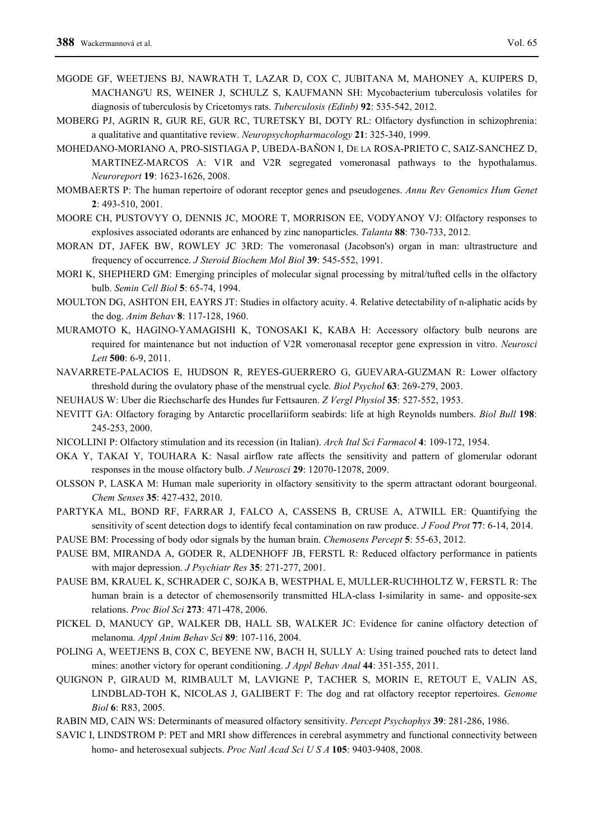- MGODE GF, WEETJENS BJ, NAWRATH T, LAZAR D, COX C, JUBITANA M, MAHONEY A, KUIPERS D, MACHANG'U RS, WEINER J, SCHULZ S, KAUFMANN SH: Mycobacterium tuberculosis volatiles for diagnosis of tuberculosis by Cricetomys rats. *Tuberculosis (Edinb)* **92**: 535-542, 2012.
- MOBERG PJ, AGRIN R, GUR RE, GUR RC, TURETSKY BI, DOTY RL: Olfactory dysfunction in schizophrenia: a qualitative and quantitative review. *Neuropsychopharmacology* **21**: 325-340, 1999.
- MOHEDANO-MORIANO A, PRO-SISTIAGA P, UBEDA-BAÑON I, DE LA ROSA-PRIETO C, SAIZ-SANCHEZ D, MARTINEZ-MARCOS A: V1R and V2R segregated vomeronasal pathways to the hypothalamus. *Neuroreport* **19**: 1623-1626, 2008.
- MOMBAERTS P: The human repertoire of odorant receptor genes and pseudogenes. *Annu Rev Genomics Hum Genet* **2**: 493-510, 2001.
- MOORE CH, PUSTOVYY O, DENNIS JC, MOORE T, MORRISON EE, VODYANOY VJ: Olfactory responses to explosives associated odorants are enhanced by zinc nanoparticles. *Talanta* **88**: 730-733, 2012.
- MORAN DT, JAFEK BW, ROWLEY JC 3RD: The vomeronasal (Jacobson's) organ in man: ultrastructure and frequency of occurrence. *J Steroid Biochem Mol Biol* **39**: 545-552, 1991.
- MORI K, SHEPHERD GM: Emerging principles of molecular signal processing by mitral/tufted cells in the olfactory bulb. *Semin Cell Biol* **5**: 65-74, 1994.
- MOULTON DG, ASHTON EH, EAYRS JT: Studies in olfactory acuity. 4. Relative detectability of n-aliphatic acids by the dog. *Anim Behav* **8**: 117-128, 1960.
- MURAMOTO K, HAGINO-YAMAGISHI K, TONOSAKI K, KABA H: Accessory olfactory bulb neurons are required for maintenance but not induction of V2R vomeronasal receptor gene expression in vitro. *Neurosci Lett* **500**: 6-9, 2011.
- NAVARRETE-PALACIOS E, HUDSON R, REYES-GUERRERO G, GUEVARA-GUZMAN R: Lower olfactory threshold during the ovulatory phase of the menstrual cycle. *Biol Psychol* **63**: 269-279, 2003.
- NEUHAUS W: Uber die Riechscharfe des Hundes fur Fettsauren. *Z Vergl Physiol* **35**: 527-552, 1953.
- NEVITT GA: Olfactory foraging by Antarctic procellariiform seabirds: life at high Reynolds numbers. *Biol Bull* **198**: 245-253, 2000.
- NICOLLINI P: Olfactory stimulation and its recession (in Italian). *Arch Ital Sci Farmacol* **4**: 109-172, 1954.
- OKA Y, TAKAI Y, TOUHARA K: Nasal airflow rate affects the sensitivity and pattern of glomerular odorant responses in the mouse olfactory bulb. *J Neurosci* **29**: 12070-12078, 2009.
- OLSSON P, LASKA M: Human male superiority in olfactory sensitivity to the sperm attractant odorant bourgeonal. *Chem Senses* **35**: 427-432, 2010.
- PARTYKA ML, BOND RF, FARRAR J, FALCO A, CASSENS B, CRUSE A, ATWILL ER: Quantifying the sensitivity of scent detection dogs to identify fecal contamination on raw produce. *J Food Prot* **77**: 6-14, 2014.
- PAUSE BM: Processing of body odor signals by the human brain. *Chemosens Percept* **5**: 55-63, 2012.
- PAUSE BM, MIRANDA A, GODER R, ALDENHOFF JB, FERSTL R: Reduced olfactory performance in patients with major depression. *J Psychiatr Res* **35**: 271-277, 2001.
- PAUSE BM, KRAUEL K, SCHRADER C, SOJKA B, WESTPHAL E, MULLER-RUCHHOLTZ W, FERSTL R: The human brain is a detector of chemosensorily transmitted HLA-class I-similarity in same- and opposite-sex relations. *Proc Biol Sci* **273**: 471-478, 2006.
- PICKEL D, MANUCY GP, WALKER DB, HALL SB, WALKER JC: Evidence for canine olfactory detection of melanoma. *Appl Anim Behav Sci* **89**: 107-116, 2004.
- POLING A, WEETJENS B, COX C, BEYENE NW, BACH H, SULLY A: Using trained pouched rats to detect land mines: another victory for operant conditioning. *J Appl Behav Anal* **44**: 351-355, 2011.
- QUIGNON P, GIRAUD M, RIMBAULT M, LAVIGNE P, TACHER S, MORIN E, RETOUT E, VALIN AS, LINDBLAD-TOH K, NICOLAS J, GALIBERT F: The dog and rat olfactory receptor repertoires. *Genome Biol* **6**: R83, 2005.
- RABIN MD, CAIN WS: Determinants of measured olfactory sensitivity. *Percept Psychophys* **39**: 281-286, 1986.
- SAVIC I, LINDSTROM P: PET and MRI show differences in cerebral asymmetry and functional connectivity between homo- and heterosexual subjects. *Proc Natl Acad Sci U S A* **105**: 9403-9408, 2008.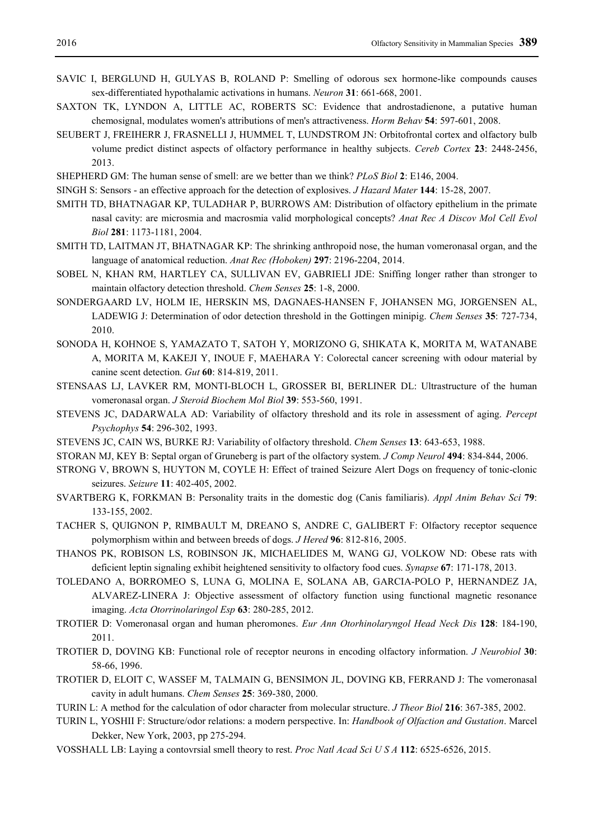- SAVIC I, BERGLUND H, GULYAS B, ROLAND P: Smelling of odorous sex hormone-like compounds causes sex-differentiated hypothalamic activations in humans. *Neuron* **31**: 661-668, 2001.
- SAXTON TK, LYNDON A, LITTLE AC, ROBERTS SC: Evidence that androstadienone, a putative human chemosignal, modulates women's attributions of men's attractiveness. *Horm Behav* **54**: 597-601, 2008.
- SEUBERT J, FREIHERR J, FRASNELLI J, HUMMEL T, LUNDSTROM JN: Orbitofrontal cortex and olfactory bulb volume predict distinct aspects of olfactory performance in healthy subjects. *Cereb Cortex* **23**: 2448-2456, 2013.
- SHEPHERD GM: The human sense of smell: are we better than we think? *PLoS Biol* **2**: E146, 2004.
- SINGH S: Sensors an effective approach for the detection of explosives. *J Hazard Mater* **144**: 15-28, 2007.
- SMITH TD, BHATNAGAR KP, TULADHAR P, BURROWS AM: Distribution of olfactory epithelium in the primate nasal cavity: are microsmia and macrosmia valid morphological concepts? *Anat Rec A Discov Mol Cell Evol Biol* **281**: 1173-1181, 2004.
- SMITH TD, LAITMAN JT, BHATNAGAR KP: The shrinking anthropoid nose, the human vomeronasal organ, and the language of anatomical reduction. *Anat Rec (Hoboken)* **297**: 2196-2204, 2014.
- SOBEL N, KHAN RM, HARTLEY CA, SULLIVAN EV, GABRIELI JDE: Sniffing longer rather than stronger to maintain olfactory detection threshold. *Chem Senses* **25**: 1-8, 2000.
- SONDERGAARD LV, HOLM IE, HERSKIN MS, DAGNAES-HANSEN F, JOHANSEN MG, JORGENSEN AL, LADEWIG J: Determination of odor detection threshold in the Gottingen minipig. *Chem Senses* **35**: 727-734, 2010.
- SONODA H, KOHNOE S, YAMAZATO T, SATOH Y, MORIZONO G, SHIKATA K, MORITA M, WATANABE A, MORITA M, KAKEJI Y, INOUE F, MAEHARA Y: Colorectal cancer screening with odour material by canine scent detection. *Gut* **60**: 814-819, 2011.
- STENSAAS LJ, LAVKER RM, MONTI-BLOCH L, GROSSER BI, BERLINER DL: Ultrastructure of the human vomeronasal organ. *J Steroid Biochem Mol Biol* **39**: 553-560, 1991.
- STEVENS JC, DADARWALA AD: Variability of olfactory threshold and its role in assessment of aging. *Percept Psychophys* **54**: 296-302, 1993.
- STEVENS JC, CAIN WS, BURKE RJ: Variability of olfactory threshold. *Chem Senses* **13**: 643-653, 1988.
- STORAN MJ, KEY B: Septal organ of Gruneberg is part of the olfactory system. *J Comp Neurol* **494**: 834-844, 2006.
- STRONG V, BROWN S, HUYTON M, COYLE H: Effect of trained Seizure Alert Dogs on frequency of tonic-clonic seizures. *Seizure* **11**: 402-405, 2002.
- SVARTBERG K, FORKMAN B: Personality traits in the domestic dog (Canis familiaris). *Appl Anim Behav Sci* **79**: 133-155, 2002.
- TACHER S, QUIGNON P, RIMBAULT M, DREANO S, ANDRE C, GALIBERT F: Olfactory receptor sequence polymorphism within and between breeds of dogs. *J Hered* **96**: 812-816, 2005.
- THANOS PK, ROBISON LS, ROBINSON JK, MICHAELIDES M, WANG GJ, VOLKOW ND: Obese rats with deficient leptin signaling exhibit heightened sensitivity to olfactory food cues. *Synapse* **67**: 171-178, 2013.
- TOLEDANO A, BORROMEO S, LUNA G, MOLINA E, SOLANA AB, GARCIA-POLO P, HERNANDEZ JA, ALVAREZ-LINERA J: Objective assessment of olfactory function using functional magnetic resonance imaging. *Acta Otorrinolaringol Esp* **63**: 280-285, 2012.
- TROTIER D: Vomeronasal organ and human pheromones. *Eur Ann Otorhinolaryngol Head Neck Dis* **128**: 184-190, 2011.
- TROTIER D, DOVING KB: Functional role of receptor neurons in encoding olfactory information. *J Neurobiol* **30**: 58-66, 1996.
- TROTIER D, ELOIT C, WASSEF M, TALMAIN G, BENSIMON JL, DOVING KB, FERRAND J: The vomeronasal cavity in adult humans. *Chem Senses* **25**: 369-380, 2000.
- TURIN L: A method for the calculation of odor character from molecular structure. *J Theor Biol* **216**: 367-385, 2002.
- TURIN L, YOSHII F: Structure/odor relations: a modern perspective. In: *Handbook of Olfaction and Gustation*. Marcel Dekker, New York, 2003, pp 275-294.
- VOSSHALL LB: Laying a contovrsial smell theory to rest. *Proc Natl Acad Sci U S A* **112**: 6525-6526, 2015.